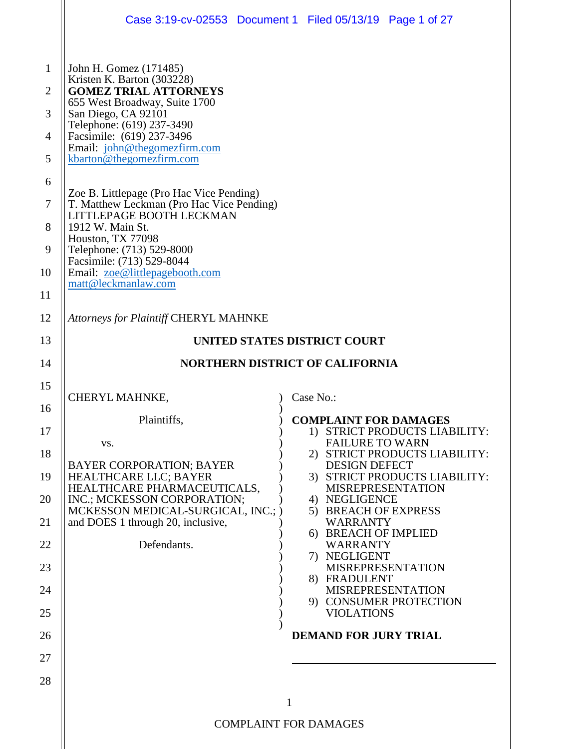|                                                                                            |                                                                                                                                                                                                                                                                                                                                                                                                                                                                                                                                                     | Case 3:19-cv-02553 Document 1 Filed 05/13/19 Page 1 of 27                  |
|--------------------------------------------------------------------------------------------|-----------------------------------------------------------------------------------------------------------------------------------------------------------------------------------------------------------------------------------------------------------------------------------------------------------------------------------------------------------------------------------------------------------------------------------------------------------------------------------------------------------------------------------------------------|----------------------------------------------------------------------------|
| $\mathbf{1}$<br>$\overline{2}$<br>3<br>$\overline{4}$<br>5<br>6<br>7<br>8<br>9<br>10<br>11 | John H. Gomez (171485)<br>Kristen K. Barton (303228)<br><b>GOMEZ TRIAL ATTORNEYS</b><br>655 West Broadway, Suite 1700<br>San Diego, CA 92101<br>Telephone: (619) 237-3490<br>Facsimile: (619) 237-3496<br>Email: john@thegomezfirm.com<br>kbarton@thegomezfirm.com<br>Zoe B. Littlepage (Pro Hac Vice Pending)<br>T. Matthew Leckman (Pro Hac Vice Pending)<br>LITTLEPAGE BOOTH LECKMAN<br>1912 W. Main St.<br>Houston, TX 77098<br>Telephone: (713) 529-8000<br>Facsimile: (713) 529-8044<br>Email: zoe@littlepagebooth.com<br>matt@leckmanlaw.com |                                                                            |
| 12                                                                                         | <b>Attorneys for Plaintiff CHERYL MAHNKE</b>                                                                                                                                                                                                                                                                                                                                                                                                                                                                                                        |                                                                            |
| 13                                                                                         |                                                                                                                                                                                                                                                                                                                                                                                                                                                                                                                                                     | UNITED STATES DISTRICT COURT                                               |
| 14                                                                                         |                                                                                                                                                                                                                                                                                                                                                                                                                                                                                                                                                     | <b>NORTHERN DISTRICT OF CALIFORNIA</b>                                     |
| 15                                                                                         | CHERYL MAHNKE,                                                                                                                                                                                                                                                                                                                                                                                                                                                                                                                                      | Case No.:                                                                  |
| 16                                                                                         | Plaintiffs.                                                                                                                                                                                                                                                                                                                                                                                                                                                                                                                                         | <b>COMPLAINT FOR DAMAGES</b>                                               |
| 17                                                                                         | VS.                                                                                                                                                                                                                                                                                                                                                                                                                                                                                                                                                 | 1) STRICT PRODUCTS LIABILITY:<br><b>FAILURE TO WARN</b>                    |
| 18<br>19                                                                                   |                                                                                                                                                                                                                                                                                                                                                                                                                                                                                                                                                     | 2) STRICT PRODUCTS LIABILITY:                                              |
|                                                                                            | <b>BAYER CORPORATION; BAYER</b>                                                                                                                                                                                                                                                                                                                                                                                                                                                                                                                     | <b>DESIGN DEFECT</b>                                                       |
| 20                                                                                         | HEALTHCARE LLC; BAYER<br>HEALTHCARE PHARMACEUTICALS,<br>INC.; MCKESSON CORPORATION;                                                                                                                                                                                                                                                                                                                                                                                                                                                                 | 3) STRICT PRODUCTS LIABILITY:<br><b>MISREPRESENTATION</b><br>4) NEGLIGENCE |
| 21                                                                                         | MCKESSON MEDICAL-SURGICAL, INC.; )<br>and DOES 1 through 20, inclusive,                                                                                                                                                                                                                                                                                                                                                                                                                                                                             | 5) BREACH OF EXPRESS<br><b>WARRANTY</b>                                    |
| 22                                                                                         | Defendants.                                                                                                                                                                                                                                                                                                                                                                                                                                                                                                                                         | 6) BREACH OF IMPLIED<br><b>WARRANTY</b><br>7) NEGLIGENT                    |
| 23                                                                                         |                                                                                                                                                                                                                                                                                                                                                                                                                                                                                                                                                     | <b>MISREPRESENTATION</b><br>8) FRADULENT                                   |
| 24                                                                                         |                                                                                                                                                                                                                                                                                                                                                                                                                                                                                                                                                     | <b>MISREPRESENTATION</b><br>9) CONSUMER PROTECTION                         |
| 25                                                                                         |                                                                                                                                                                                                                                                                                                                                                                                                                                                                                                                                                     | <b>VIOLATIONS</b>                                                          |
| 26                                                                                         |                                                                                                                                                                                                                                                                                                                                                                                                                                                                                                                                                     | <b>DEMAND FOR JURY TRIAL</b>                                               |
| 27<br>28                                                                                   |                                                                                                                                                                                                                                                                                                                                                                                                                                                                                                                                                     |                                                                            |
|                                                                                            |                                                                                                                                                                                                                                                                                                                                                                                                                                                                                                                                                     | $\mathbf{1}$                                                               |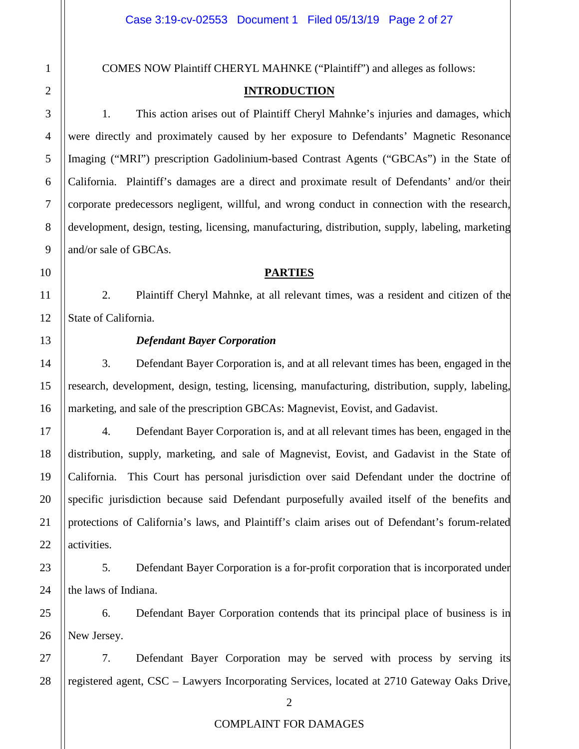COMES NOW Plaintiff CHERYL MAHNKE ("Plaintiff") and alleges as follows:

# **INTRODUCTION**

1. This action arises out of Plaintiff Cheryl Mahnke's injuries and damages, which were directly and proximately caused by her exposure to Defendants' Magnetic Resonance Imaging ("MRI") prescription Gadolinium-based Contrast Agents ("GBCAs") in the State of California. Plaintiff's damages are a direct and proximate result of Defendants' and/or their corporate predecessors negligent, willful, and wrong conduct in connection with the research, development, design, testing, licensing, manufacturing, distribution, supply, labeling, marketing and/or sale of GBCAs.

# **PARTIES**

2. Plaintiff Cheryl Mahnke, at all relevant times, was a resident and citizen of the State of California.

# *Defendant Bayer Corporation*

3. Defendant Bayer Corporation is, and at all relevant times has been, engaged in the research, development, design, testing, licensing, manufacturing, distribution, supply, labeling, marketing, and sale of the prescription GBCAs: Magnevist, Eovist, and Gadavist.

4. Defendant Bayer Corporation is, and at all relevant times has been, engaged in the distribution, supply, marketing, and sale of Magnevist, Eovist, and Gadavist in the State of California. This Court has personal jurisdiction over said Defendant under the doctrine of specific jurisdiction because said Defendant purposefully availed itself of the benefits and protections of California's laws, and Plaintiff's claim arises out of Defendant's forum-related activities.

5. Defendant Bayer Corporation is a for-profit corporation that is incorporated under the laws of Indiana.

6. Defendant Bayer Corporation contends that its principal place of business is in New Jersey.

7. Defendant Bayer Corporation may be served with process by serving its registered agent, CSC – Lawyers Incorporating Services, located at 2710 Gateway Oaks Drive,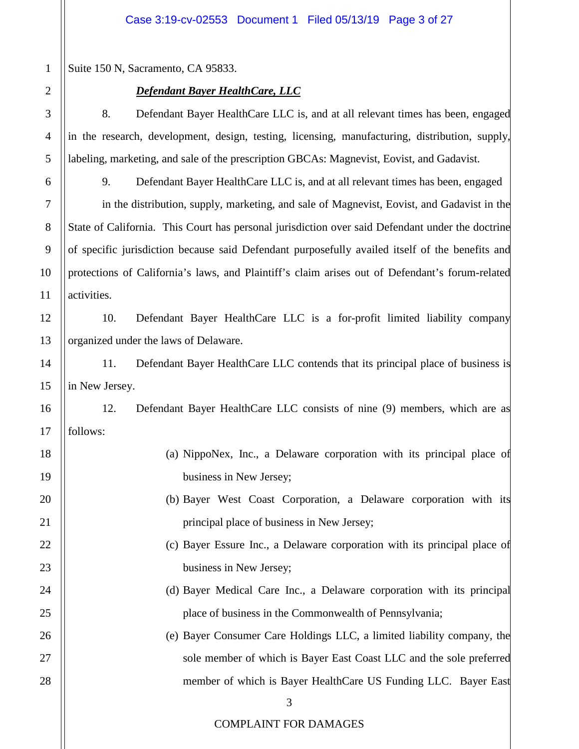Suite 150 N, Sacramento, CA 95833.

# *Defendant Bayer HealthCare, LLC*

8. Defendant Bayer HealthCare LLC is, and at all relevant times has been, engaged in the research, development, design, testing, licensing, manufacturing, distribution, supply, labeling, marketing, and sale of the prescription GBCAs: Magnevist, Eovist, and Gadavist.

9. Defendant Bayer HealthCare LLC is, and at all relevant times has been, engaged in the distribution, supply, marketing, and sale of Magnevist, Eovist, and Gadavist in the State of California. This Court has personal jurisdiction over said Defendant under the doctrine of specific jurisdiction because said Defendant purposefully availed itself of the benefits and protections of California's laws, and Plaintiff's claim arises out of Defendant's forum-related activities.

10. Defendant Bayer HealthCare LLC is a for-profit limited liability company organized under the laws of Delaware.

11. Defendant Bayer HealthCare LLC contends that its principal place of business is in New Jersey.

12. Defendant Bayer HealthCare LLC consists of nine (9) members, which are as follows:

- (a) NippoNex, Inc., a Delaware corporation with its principal place of business in New Jersey;
	- (b) Bayer West Coast Corporation, a Delaware corporation with its principal place of business in New Jersey;
		- (c) Bayer Essure Inc., a Delaware corporation with its principal place of business in New Jersey;
		- (d) Bayer Medical Care Inc., a Delaware corporation with its principal place of business in the Commonwealth of Pennsylvania;
		- (e) Bayer Consumer Care Holdings LLC, a limited liability company, the sole member of which is Bayer East Coast LLC and the sole preferred member of which is Bayer HealthCare US Funding LLC. Bayer East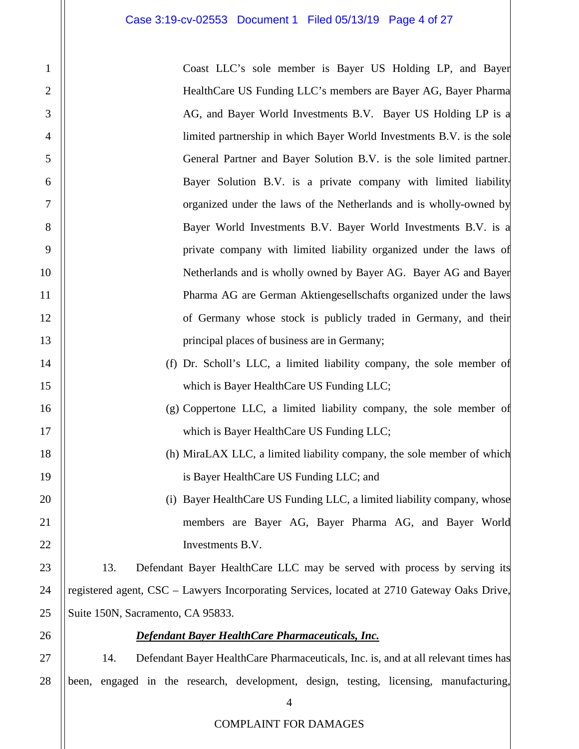1

2

3

4

5

6

7

8

9

10

11

12

13

14

15

16

17

18

19

20

21

22

23

24

25

26

27

28

| Coast LLC's sole member is Bayer US Holding LP, and Bayer                                   |
|---------------------------------------------------------------------------------------------|
| HealthCare US Funding LLC's members are Bayer AG, Bayer Pharma                              |
| AG, and Bayer World Investments B.V. Bayer US Holding LP is a                               |
| limited partnership in which Bayer World Investments B.V. is the sole                       |
| General Partner and Bayer Solution B.V. is the sole limited partner.                        |
| Bayer Solution B.V. is a private company with limited liability                             |
| organized under the laws of the Netherlands and is wholly-owned by                          |
| Bayer World Investments B.V. Bayer World Investments B.V. is a                              |
| private company with limited liability organized under the laws of                          |
| Netherlands and is wholly owned by Bayer AG. Bayer AG and Bayer                             |
| Pharma AG are German Aktiengesellschafts organized under the laws                           |
| of Germany whose stock is publicly traded in Germany, and their                             |
| principal places of business are in Germany;                                                |
| (f) Dr. Scholl's LLC, a limited liability company, the sole member of                       |
| which is Bayer HealthCare US Funding LLC;                                                   |
| (g) Coppertone LLC, a limited liability company, the sole member of                         |
| which is Bayer HealthCare US Funding LLC;                                                   |
| (h) MiraLAX LLC, a limited liability company, the sole member of which                      |
| is Bayer HealthCare US Funding LLC; and                                                     |
| (i) Bayer HealthCare US Funding LLC, a limited liability company, whose                     |
| members are Bayer AG, Bayer Pharma AG, and Bayer World                                      |
| Investments B.V.                                                                            |
| 13.<br>Defendant Bayer HealthCare LLC may be served with process by serving its             |
| registered agent, CSC – Lawyers Incorporating Services, located at 2710 Gateway Oaks Drive, |
| Suite 150N, Sacramento, CA 95833.                                                           |
| Defendant Bayer HealthCare Pharmaceuticals, Inc.                                            |
| Defendant Bayer HealthCare Pharmaceuticals, Inc. is, and at all relevant times has<br>14.   |
| been, engaged in the research, development, design, testing, licensing, manufacturing,      |

4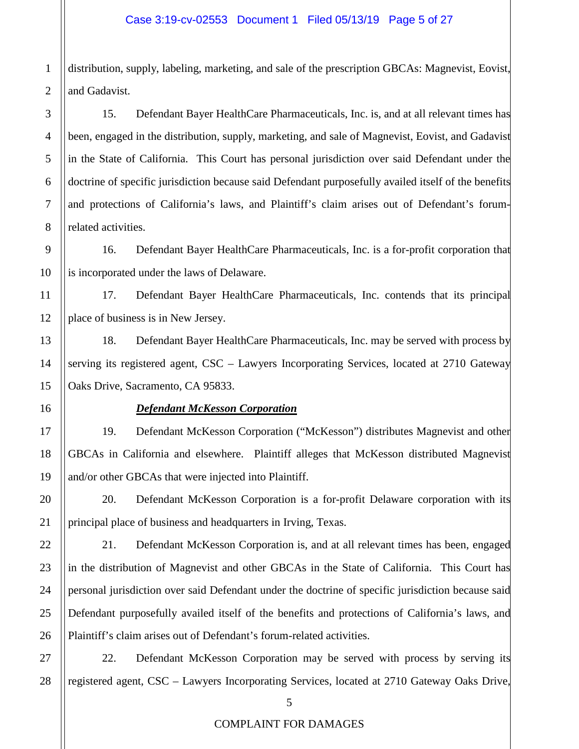distribution, supply, labeling, marketing, and sale of the prescription GBCAs: Magnevist, Eovist, and Gadavist.

15. Defendant Bayer HealthCare Pharmaceuticals, Inc. is, and at all relevant times has been, engaged in the distribution, supply, marketing, and sale of Magnevist, Eovist, and Gadavist in the State of California. This Court has personal jurisdiction over said Defendant under the doctrine of specific jurisdiction because said Defendant purposefully availed itself of the benefits and protections of California's laws, and Plaintiff's claim arises out of Defendant's forumrelated activities.

16. Defendant Bayer HealthCare Pharmaceuticals, Inc. is a for-profit corporation that is incorporated under the laws of Delaware.

17. Defendant Bayer HealthCare Pharmaceuticals, Inc. contends that its principal place of business is in New Jersey.

18. Defendant Bayer HealthCare Pharmaceuticals, Inc. may be served with process by serving its registered agent, CSC – Lawyers Incorporating Services, located at 2710 Gateway Oaks Drive, Sacramento, CA 95833.

# *Defendant McKesson Corporation*

19. Defendant McKesson Corporation ("McKesson") distributes Magnevist and other GBCAs in California and elsewhere. Plaintiff alleges that McKesson distributed Magnevist and/or other GBCAs that were injected into Plaintiff.

20. Defendant McKesson Corporation is a for-profit Delaware corporation with its principal place of business and headquarters in Irving, Texas.

21. Defendant McKesson Corporation is, and at all relevant times has been, engaged in the distribution of Magnevist and other GBCAs in the State of California. This Court has personal jurisdiction over said Defendant under the doctrine of specific jurisdiction because said Defendant purposefully availed itself of the benefits and protections of California's laws, and Plaintiff's claim arises out of Defendant's forum-related activities.

22. Defendant McKesson Corporation may be served with process by serving its registered agent, CSC – Lawyers Incorporating Services, located at 2710 Gateway Oaks Drive,

1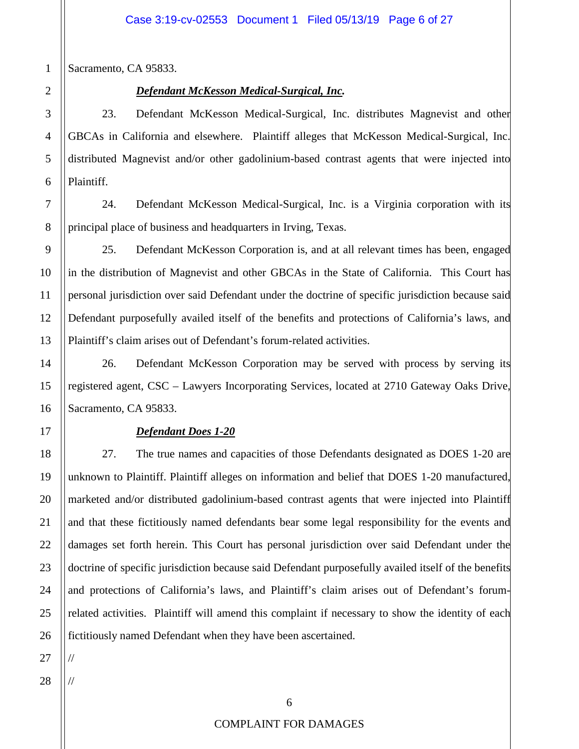Sacramento, CA 95833.

1

2

3

4

5

6

7

# *Defendant McKesson Medical-Surgical, Inc.*

23. Defendant McKesson Medical-Surgical, Inc. distributes Magnevist and other GBCAs in California and elsewhere. Plaintiff alleges that McKesson Medical-Surgical, Inc. distributed Magnevist and/or other gadolinium-based contrast agents that were injected into Plaintiff.

24. Defendant McKesson Medical-Surgical, Inc. is a Virginia corporation with its principal place of business and headquarters in Irving, Texas.

25. Defendant McKesson Corporation is, and at all relevant times has been, engaged in the distribution of Magnevist and other GBCAs in the State of California. This Court has personal jurisdiction over said Defendant under the doctrine of specific jurisdiction because said Defendant purposefully availed itself of the benefits and protections of California's laws, and Plaintiff's claim arises out of Defendant's forum-related activities.

26. Defendant McKesson Corporation may be served with process by serving its registered agent, CSC – Lawyers Incorporating Services, located at 2710 Gateway Oaks Drive, Sacramento, CA 95833.

# *Defendant Does 1-20*

27. The true names and capacities of those Defendants designated as DOES 1-20 are unknown to Plaintiff. Plaintiff alleges on information and belief that DOES 1-20 manufactured, marketed and/or distributed gadolinium-based contrast agents that were injected into Plaintiff and that these fictitiously named defendants bear some legal responsibility for the events and damages set forth herein. This Court has personal jurisdiction over said Defendant under the doctrine of specific jurisdiction because said Defendant purposefully availed itself of the benefits and protections of California's laws, and Plaintiff's claim arises out of Defendant's forumrelated activities. Plaintiff will amend this complaint if necessary to show the identity of each fictitiously named Defendant when they have been ascertained.

//

//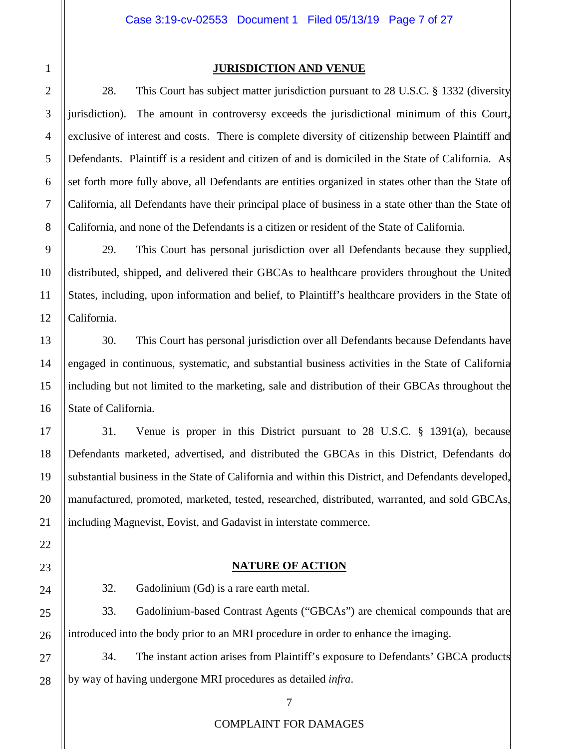28. This Court has subject matter jurisdiction pursuant to 28 U.S.C. § 1332 (diversity jurisdiction). The amount in controversy exceeds the jurisdictional minimum of this Court, exclusive of interest and costs. There is complete diversity of citizenship between Plaintiff and Defendants. Plaintiff is a resident and citizen of and is domiciled in the State of California. As set forth more fully above, all Defendants are entities organized in states other than the State of California, all Defendants have their principal place of business in a state other than the State of California, and none of the Defendants is a citizen or resident of the State of California.

29. This Court has personal jurisdiction over all Defendants because they supplied, distributed, shipped, and delivered their GBCAs to healthcare providers throughout the United States, including, upon information and belief, to Plaintiff's healthcare providers in the State of California.

30. This Court has personal jurisdiction over all Defendants because Defendants have engaged in continuous, systematic, and substantial business activities in the State of California including but not limited to the marketing, sale and distribution of their GBCAs throughout the State of California.

31. Venue is proper in this District pursuant to 28 U.S.C. § 1391(a), because Defendants marketed, advertised, and distributed the GBCAs in this District, Defendants do substantial business in the State of California and within this District, and Defendants developed, manufactured, promoted, marketed, tested, researched, distributed, warranted, and sold GBCAs, including Magnevist, Eovist, and Gadavist in interstate commerce.

# **NATURE OF ACTION**

32. Gadolinium (Gd) is a rare earth metal.

33. Gadolinium-based Contrast Agents ("GBCAs") are chemical compounds that are introduced into the body prior to an MRI procedure in order to enhance the imaging.

34. The instant action arises from Plaintiff's exposure to Defendants' GBCA products by way of having undergone MRI procedures as detailed *infra*.

28

1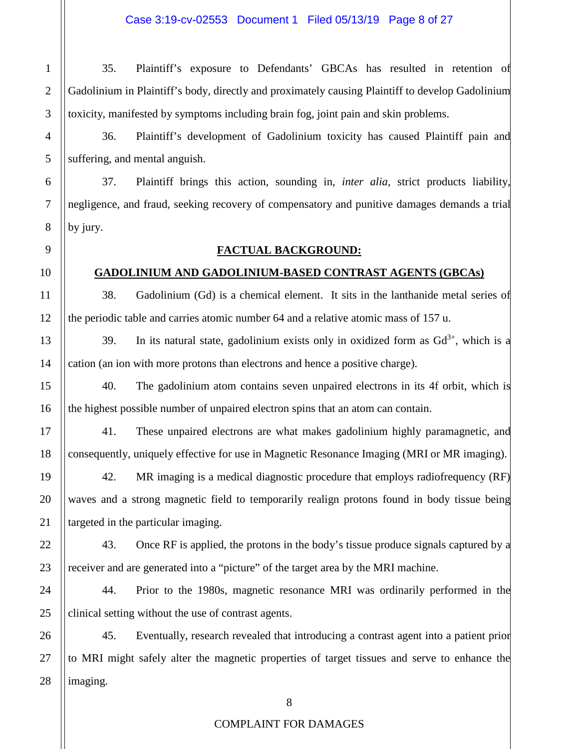35. Plaintiff's exposure to Defendants' GBCAs has resulted in retention of Gadolinium in Plaintiff's body, directly and proximately causing Plaintiff to develop Gadolinium toxicity, manifested by symptoms including brain fog, joint pain and skin problems.

36. Plaintiff's development of Gadolinium toxicity has caused Plaintiff pain and suffering, and mental anguish.

37. Plaintiff brings this action, sounding in, *inter alia*, strict products liability, negligence, and fraud, seeking recovery of compensatory and punitive damages demands a trial by jury.

# **FACTUAL BACKGROUND:**

# **GADOLINIUM AND GADOLINIUM-BASED CONTRAST AGENTS (GBCAs)**

38. Gadolinium (Gd) is a chemical element. It sits in the lanthanide metal series of the periodic table and carries atomic number 64 and a relative atomic mass of 157 u.

39. In its natural state, gadolinium exists only in oxidized form as  $Gd^{3+}$ , which is a cation (an ion with more protons than electrons and hence a positive charge).

40. The gadolinium atom contains seven unpaired electrons in its 4f orbit, which is the highest possible number of unpaired electron spins that an atom can contain.

41. These unpaired electrons are what makes gadolinium highly paramagnetic, and consequently, uniquely effective for use in Magnetic Resonance Imaging (MRI or MR imaging).

42. MR imaging is a medical diagnostic procedure that employs radiofrequency (RF) waves and a strong magnetic field to temporarily realign protons found in body tissue being targeted in the particular imaging.

43. Once RF is applied, the protons in the body's tissue produce signals captured by a receiver and are generated into a "picture" of the target area by the MRI machine.

44. Prior to the 1980s, magnetic resonance MRI was ordinarily performed in the clinical setting without the use of contrast agents.

45. Eventually, research revealed that introducing a contrast agent into a patient prior to MRI might safely alter the magnetic properties of target tissues and serve to enhance the imaging.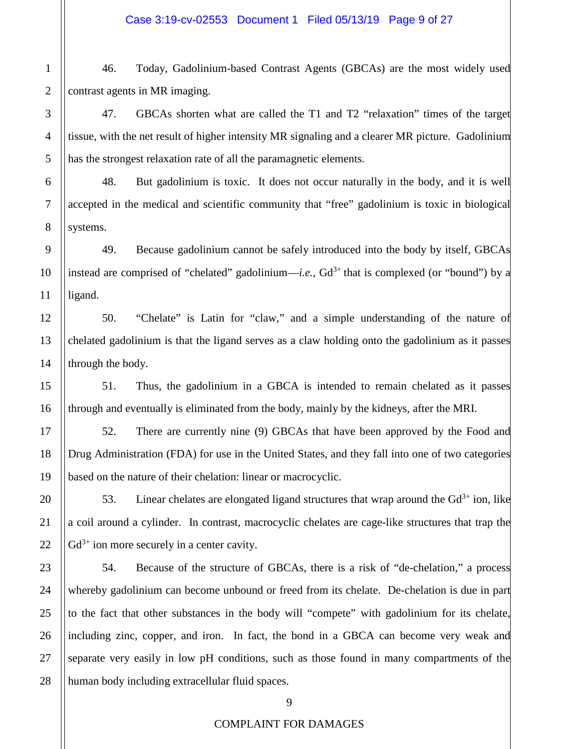46. Today, Gadolinium-based Contrast Agents (GBCAs) are the most widely used contrast agents in MR imaging.

47. GBCAs shorten what are called the T1 and T2 "relaxation" times of the target tissue, with the net result of higher intensity MR signaling and a clearer MR picture. Gadolinium has the strongest relaxation rate of all the paramagnetic elements.

48. But gadolinium is toxic. It does not occur naturally in the body, and it is well accepted in the medical and scientific community that "free" gadolinium is toxic in biological systems.

49. Because gadolinium cannot be safely introduced into the body by itself, GBCAs instead are comprised of "chelated" gadolinium—*i.e.*,  $Gd^{3+}$  that is complexed (or "bound") by a ligand.

50. "Chelate" is Latin for "claw," and a simple understanding of the nature of chelated gadolinium is that the ligand serves as a claw holding onto the gadolinium as it passes through the body.

51. Thus, the gadolinium in a GBCA is intended to remain chelated as it passes through and eventually is eliminated from the body, mainly by the kidneys, after the MRI.

52. There are currently nine (9) GBCAs that have been approved by the Food and Drug Administration (FDA) for use in the United States, and they fall into one of two categories based on the nature of their chelation: linear or macrocyclic.

53. Linear chelates are elongated ligand structures that wrap around the  $Gd^{3+}$  ion, like a coil around a cylinder. In contrast, macrocyclic chelates are cage-like structures that trap the  $Gd^{3+}$  ion more securely in a center cavity.

54. Because of the structure of GBCAs, there is a risk of "de-chelation," a process whereby gadolinium can become unbound or freed from its chelate. De-chelation is due in part to the fact that other substances in the body will "compete" with gadolinium for its chelate, including zinc, copper, and iron. In fact, the bond in a GBCA can become very weak and separate very easily in low pH conditions, such as those found in many compartments of the human body including extracellular fluid spaces.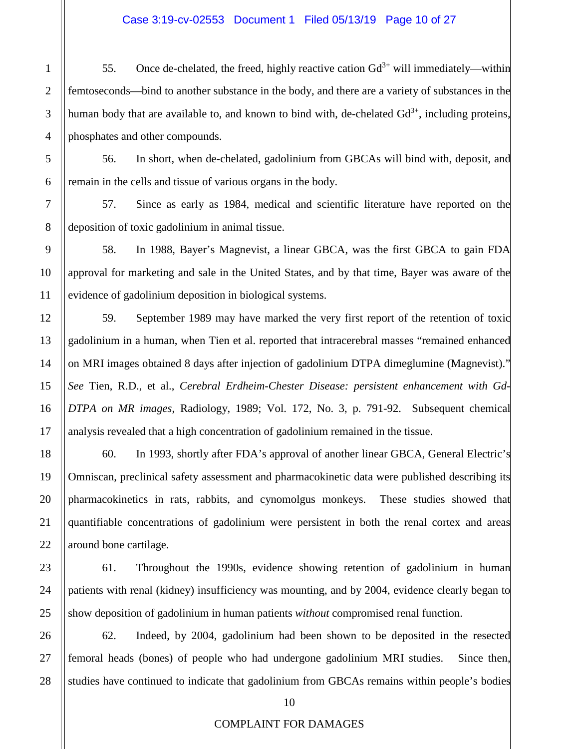# Case 3:19-cv-02553 Document 1 Filed 05/13/19 Page 10 of 27

55. Once de-chelated, the freed, highly reactive cation  $Gd^{3+}$  will immediately—within femtoseconds—bind to another substance in the body, and there are a variety of substances in the human body that are available to, and known to bind with, de-chelated  $Gd^{3+}$ , including proteins, phosphates and other compounds.

56. In short, when de-chelated, gadolinium from GBCAs will bind with, deposit, and remain in the cells and tissue of various organs in the body.

57. Since as early as 1984, medical and scientific literature have reported on the deposition of toxic gadolinium in animal tissue.

58. In 1988, Bayer's Magnevist, a linear GBCA, was the first GBCA to gain FDA approval for marketing and sale in the United States, and by that time, Bayer was aware of the evidence of gadolinium deposition in biological systems.

59. September 1989 may have marked the very first report of the retention of toxic gadolinium in a human, when Tien et al. reported that intracerebral masses "remained enhanced on MRI images obtained 8 days after injection of gadolinium DTPA dimeglumine (Magnevist)." *See* Tien, R.D., et al., *Cerebral Erdheim-Chester Disease: persistent enhancement with Gd-DTPA on MR images*, Radiology, 1989; Vol. 172, No. 3, p. 791-92. Subsequent chemical analysis revealed that a high concentration of gadolinium remained in the tissue.

60. In 1993, shortly after FDA's approval of another linear GBCA, General Electric's Omniscan, preclinical safety assessment and pharmacokinetic data were published describing its pharmacokinetics in rats, rabbits, and cynomolgus monkeys. These studies showed that quantifiable concentrations of gadolinium were persistent in both the renal cortex and areas around bone cartilage.

61. Throughout the 1990s, evidence showing retention of gadolinium in human patients with renal (kidney) insufficiency was mounting, and by 2004, evidence clearly began to show deposition of gadolinium in human patients *without* compromised renal function.

62. Indeed, by 2004, gadolinium had been shown to be deposited in the resected femoral heads (bones) of people who had undergone gadolinium MRI studies. Since then, studies have continued to indicate that gadolinium from GBCAs remains within people's bodies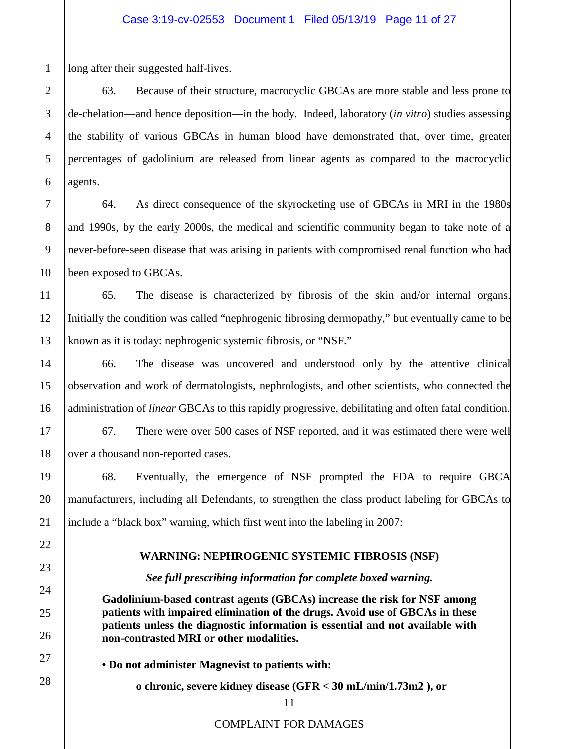long after their suggested half-lives.

63. Because of their structure, macrocyclic GBCAs are more stable and less prone to de-chelation—and hence deposition—in the body. Indeed, laboratory (*in vitro*) studies assessing the stability of various GBCAs in human blood have demonstrated that, over time, greater percentages of gadolinium are released from linear agents as compared to the macrocyclic agents.

64. As direct consequence of the skyrocketing use of GBCAs in MRI in the 1980s and 1990s, by the early 2000s, the medical and scientific community began to take note of a never-before-seen disease that was arising in patients with compromised renal function who had been exposed to GBCAs.

65. The disease is characterized by fibrosis of the skin and/or internal organs. Initially the condition was called "nephrogenic fibrosing dermopathy," but eventually came to be known as it is today: nephrogenic systemic fibrosis, or "NSF."

66. The disease was uncovered and understood only by the attentive clinical observation and work of dermatologists, nephrologists, and other scientists, who connected the administration of *linear* GBCAs to this rapidly progressive, debilitating and often fatal condition.

67. There were over 500 cases of NSF reported, and it was estimated there were well over a thousand non-reported cases.

68. Eventually, the emergence of NSF prompted the FDA to require GBCA manufacturers, including all Defendants, to strengthen the class product labeling for GBCAs to include a "black box" warning, which first went into the labeling in 2007:

# **WARNING: NEPHROGENIC SYSTEMIC FIBROSIS (NSF)**

*See full prescribing information for complete boxed warning.*

**Gadolinium-based contrast agents (GBCAs) increase the risk for NSF among patients with impaired elimination of the drugs. Avoid use of GBCAs in these patients unless the diagnostic information is essential and not available with non-contrasted MRI or other modalities.** 

**• Do not administer Magnevist to patients with:** 

**o chronic, severe kidney disease (GFR < 30 mL/min/1.73m2 ), or**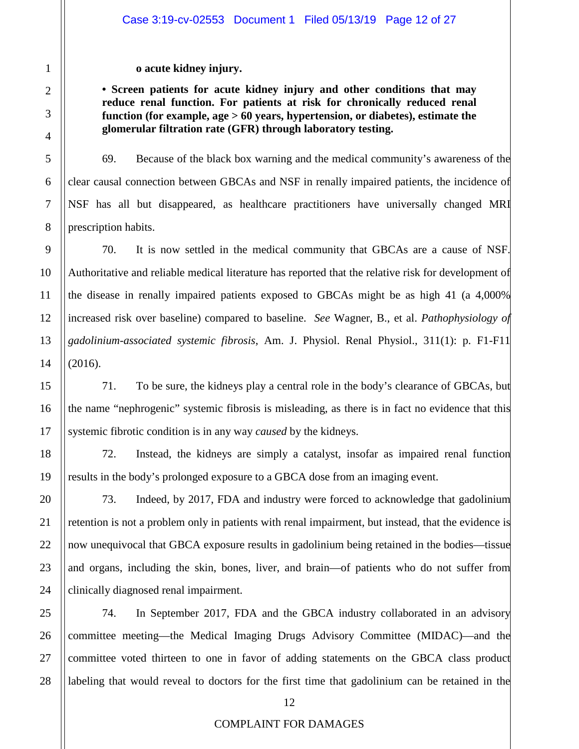**o acute kidney injury.** 

**• Screen patients for acute kidney injury and other conditions that may reduce renal function. For patients at risk for chronically reduced renal function (for example, age > 60 years, hypertension, or diabetes), estimate the glomerular filtration rate (GFR) through laboratory testing.**

69. Because of the black box warning and the medical community's awareness of the clear causal connection between GBCAs and NSF in renally impaired patients, the incidence of NSF has all but disappeared, as healthcare practitioners have universally changed MRI prescription habits.

70. It is now settled in the medical community that GBCAs are a cause of NSF. Authoritative and reliable medical literature has reported that the relative risk for development of the disease in renally impaired patients exposed to GBCAs might be as high 41 (a 4,000% increased risk over baseline) compared to baseline. *See* Wagner, B., et al. *Pathophysiology of gadolinium-associated systemic fibrosis*, Am. J. Physiol. Renal Physiol., 311(1): p. F1-F11 (2016).

71. To be sure, the kidneys play a central role in the body's clearance of GBCAs, but the name "nephrogenic" systemic fibrosis is misleading, as there is in fact no evidence that this systemic fibrotic condition is in any way *caused* by the kidneys.

72. Instead, the kidneys are simply a catalyst, insofar as impaired renal function results in the body's prolonged exposure to a GBCA dose from an imaging event.

73. Indeed, by 2017, FDA and industry were forced to acknowledge that gadolinium retention is not a problem only in patients with renal impairment, but instead, that the evidence is now unequivocal that GBCA exposure results in gadolinium being retained in the bodies—tissue and organs, including the skin, bones, liver, and brain—of patients who do not suffer from clinically diagnosed renal impairment.

74. In September 2017, FDA and the GBCA industry collaborated in an advisory committee meeting—the Medical Imaging Drugs Advisory Committee (MIDAC)—and the committee voted thirteen to one in favor of adding statements on the GBCA class product labeling that would reveal to doctors for the first time that gadolinium can be retained in the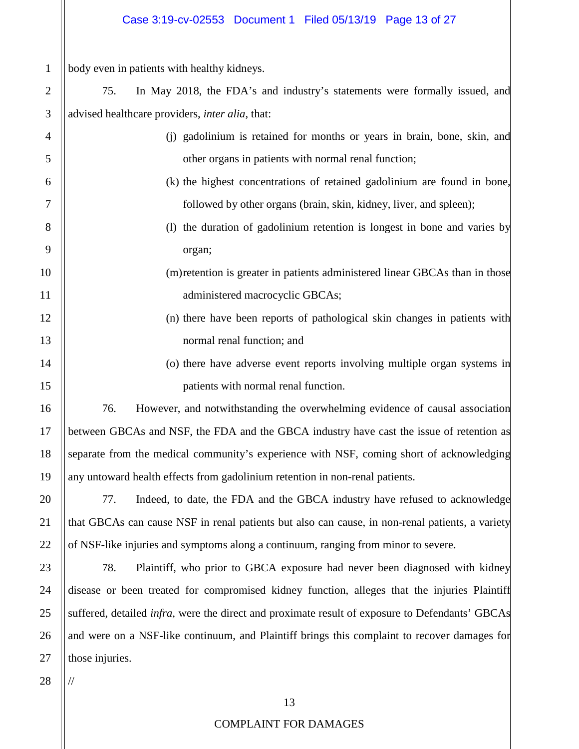# Case 3:19-cv-02553 Document 1 Filed 05/13/19 Page 13 of 27

body even in patients with healthy kidneys.

1

2

3

4

5

6

7

8

9

10

11

12

13

14

15

16

17

18

19

20

21

22

23

24

25

26

27

75. In May 2018, the FDA's and industry's statements were formally issued, and advised healthcare providers, *inter alia*, that:

- (j) gadolinium is retained for months or years in brain, bone, skin, and other organs in patients with normal renal function;
	- (k) the highest concentrations of retained gadolinium are found in bone, followed by other organs (brain, skin, kidney, liver, and spleen);
	- (l) the duration of gadolinium retention is longest in bone and varies by organ;
- (m)retention is greater in patients administered linear GBCAs than in those administered macrocyclic GBCAs;
	- (n) there have been reports of pathological skin changes in patients with normal renal function; and
		- (o) there have adverse event reports involving multiple organ systems in patients with normal renal function.

76. However, and notwithstanding the overwhelming evidence of causal association between GBCAs and NSF, the FDA and the GBCA industry have cast the issue of retention as separate from the medical community's experience with NSF, coming short of acknowledging any untoward health effects from gadolinium retention in non-renal patients.

77. Indeed, to date, the FDA and the GBCA industry have refused to acknowledge that GBCAs can cause NSF in renal patients but also can cause, in non-renal patients, a variety of NSF-like injuries and symptoms along a continuum, ranging from minor to severe.

78. Plaintiff, who prior to GBCA exposure had never been diagnosed with kidney disease or been treated for compromised kidney function, alleges that the injuries Plaintiff suffered, detailed *infra*, were the direct and proximate result of exposure to Defendants' GBCAs and were on a NSF-like continuum, and Plaintiff brings this complaint to recover damages for those injuries.

28

//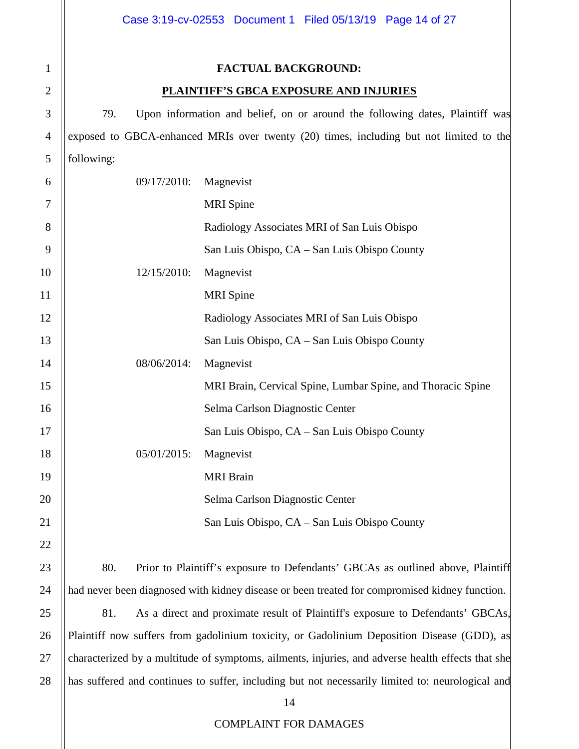# **FACTUAL BACKGROUND:**

# **PLAINTIFF'S GBCA EXPOSURE AND INJURIES**

79. Upon information and belief, on or around the following dates, Plaintiff was exposed to GBCA-enhanced MRIs over twenty (20) times, including but not limited to the following:

| 6              | 09/17/2010: | Magnevist                                                                      |  |  |  |  |
|----------------|-------------|--------------------------------------------------------------------------------|--|--|--|--|
| 7              |             | <b>MRI</b> Spine                                                               |  |  |  |  |
| 8              |             | Radiology Associates MRI of San Luis Obispo                                    |  |  |  |  |
| 9              |             | San Luis Obispo, CA - San Luis Obispo County                                   |  |  |  |  |
| $\overline{0}$ | 12/15/2010: | Magnevist                                                                      |  |  |  |  |
| $\mathbf{1}$   |             | <b>MRI</b> Spine                                                               |  |  |  |  |
| $\overline{c}$ |             | Radiology Associates MRI of San Luis Obispo                                    |  |  |  |  |
| 3              |             | San Luis Obispo, CA - San Luis Obispo County                                   |  |  |  |  |
| 4              | 08/06/2014: | Magnevist                                                                      |  |  |  |  |
| 5              |             | MRI Brain, Cervical Spine, Lumbar Spine, and Thoracic Spine                    |  |  |  |  |
| 6              |             | Selma Carlson Diagnostic Center                                                |  |  |  |  |
| 7              |             | San Luis Obispo, CA - San Luis Obispo County                                   |  |  |  |  |
| 8              | 05/01/2015: | Magnevist                                                                      |  |  |  |  |
| 9              |             | <b>MRI</b> Brain                                                               |  |  |  |  |
| $\overline{0}$ |             | Selma Carlson Diagnostic Center                                                |  |  |  |  |
| 1              |             | San Luis Obispo, CA - San Luis Obispo County                                   |  |  |  |  |
| $\overline{c}$ |             |                                                                                |  |  |  |  |
| 3              | 80.         | Prior to Plaintiff's exposure to Defendants' GBCAs as outlined above, Plaintif |  |  |  |  |

80. Prior to Plaintiff's exposure to Defendants' GBCAs as outlined above, Plaintiff had never been diagnosed with kidney disease or been treated for compromised kidney function.

81. As a direct and proximate result of Plaintiff's exposure to Defendants' GBCAs, Plaintiff now suffers from gadolinium toxicity, or Gadolinium Deposition Disease (GDD), as characterized by a multitude of symptoms, ailments, injuries, and adverse health effects that she has suffered and continues to suffer, including but not necessarily limited to: neurological and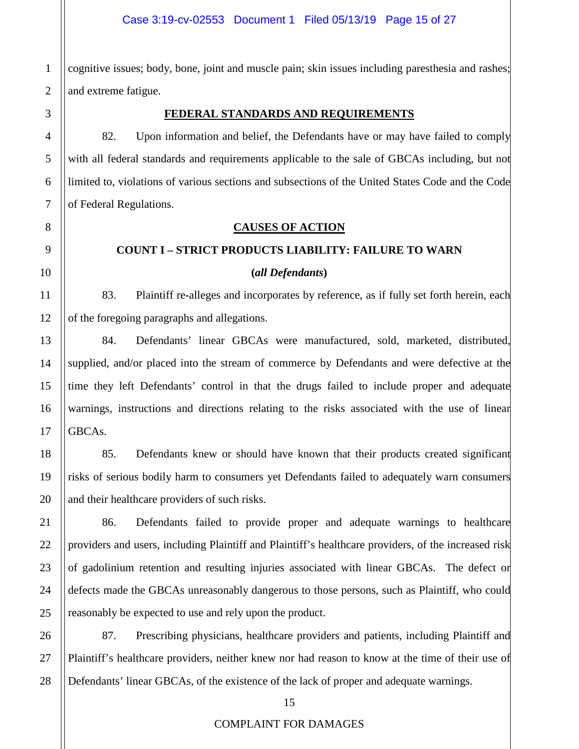cognitive issues; body, bone, joint and muscle pain; skin issues including paresthesia and rashes; and extreme fatigue.

# **FEDERAL STANDARDS AND REQUIREMENTS**

82. Upon information and belief, the Defendants have or may have failed to comply with all federal standards and requirements applicable to the sale of GBCAs including, but not limited to, violations of various sections and subsections of the United States Code and the Code of Federal Regulations.

# **CAUSES OF ACTION**

# **COUNT I – STRICT PRODUCTS LIABILITY: FAILURE TO WARN**

#### **(***all Defendants***)**

83. Plaintiff re-alleges and incorporates by reference, as if fully set forth herein, each of the foregoing paragraphs and allegations.

84. Defendants' linear GBCAs were manufactured, sold, marketed, distributed, supplied, and/or placed into the stream of commerce by Defendants and were defective at the time they left Defendants' control in that the drugs failed to include proper and adequate warnings, instructions and directions relating to the risks associated with the use of linear GBCAs.

85. Defendants knew or should have known that their products created significant risks of serious bodily harm to consumers yet Defendants failed to adequately warn consumers and their healthcare providers of such risks.

86. Defendants failed to provide proper and adequate warnings to healthcare providers and users, including Plaintiff and Plaintiff's healthcare providers, of the increased risk of gadolinium retention and resulting injuries associated with linear GBCAs. The defect or defects made the GBCAs unreasonably dangerous to those persons, such as Plaintiff, who could reasonably be expected to use and rely upon the product.

87. Prescribing physicians, healthcare providers and patients, including Plaintiff and Plaintiff's healthcare providers, neither knew nor had reason to know at the time of their use of Defendants' linear GBCAs, of the existence of the lack of proper and adequate warnings.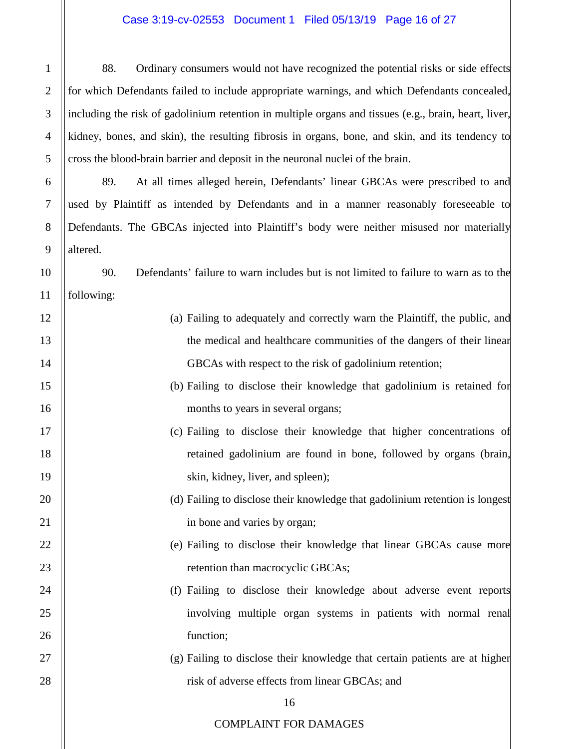# Case 3:19-cv-02553 Document 1 Filed 05/13/19 Page 16 of 27

88. Ordinary consumers would not have recognized the potential risks or side effects for which Defendants failed to include appropriate warnings, and which Defendants concealed, including the risk of gadolinium retention in multiple organs and tissues (e.g., brain, heart, liver, kidney, bones, and skin), the resulting fibrosis in organs, bone, and skin, and its tendency to cross the blood-brain barrier and deposit in the neuronal nuclei of the brain.

89. At all times alleged herein, Defendants' linear GBCAs were prescribed to and used by Plaintiff as intended by Defendants and in a manner reasonably foreseeable to Defendants. The GBCAs injected into Plaintiff's body were neither misused nor materially altered.

90. Defendants' failure to warn includes but is not limited to failure to warn as to the following:

- (a) Failing to adequately and correctly warn the Plaintiff, the public, and the medical and healthcare communities of the dangers of their linear GBCAs with respect to the risk of gadolinium retention;
	- (b) Failing to disclose their knowledge that gadolinium is retained for months to years in several organs;
		- (c) Failing to disclose their knowledge that higher concentrations of retained gadolinium are found in bone, followed by organs (brain, skin, kidney, liver, and spleen);
			- (d) Failing to disclose their knowledge that gadolinium retention is longest in bone and varies by organ;
			- (e) Failing to disclose their knowledge that linear GBCAs cause more retention than macrocyclic GBCAs;
			- (f) Failing to disclose their knowledge about adverse event reports involving multiple organ systems in patients with normal renal function;
			- (g) Failing to disclose their knowledge that certain patients are at higher risk of adverse effects from linear GBCAs; and

# 16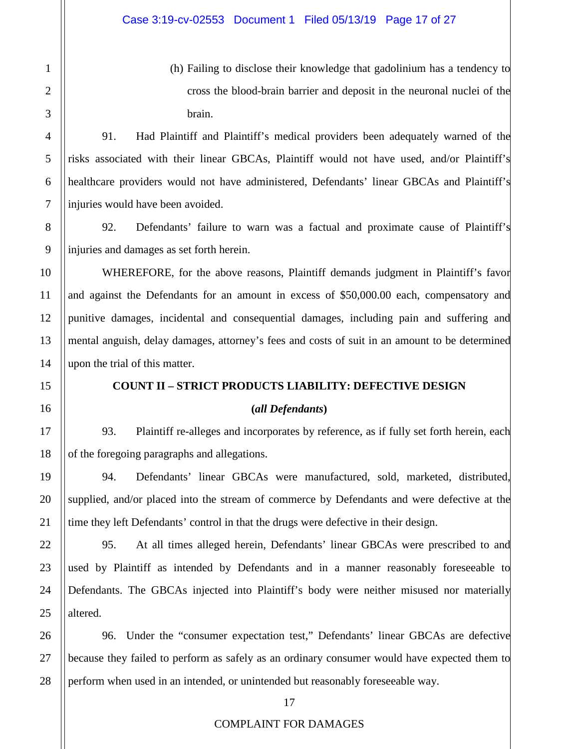(h) Failing to disclose their knowledge that gadolinium has a tendency to cross the blood-brain barrier and deposit in the neuronal nuclei of the brain.

91. Had Plaintiff and Plaintiff's medical providers been adequately warned of the risks associated with their linear GBCAs, Plaintiff would not have used, and/or Plaintiff's healthcare providers would not have administered, Defendants' linear GBCAs and Plaintiff's injuries would have been avoided.

92. Defendants' failure to warn was a factual and proximate cause of Plaintiff's injuries and damages as set forth herein.

WHEREFORE, for the above reasons, Plaintiff demands judgment in Plaintiff's favor and against the Defendants for an amount in excess of \$50,000.00 each, compensatory and punitive damages, incidental and consequential damages, including pain and suffering and mental anguish, delay damages, attorney's fees and costs of suit in an amount to be determined upon the trial of this matter.

# **COUNT II – STRICT PRODUCTS LIABILITY: DEFECTIVE DESIGN**

# **(***all Defendants***)**

93. Plaintiff re-alleges and incorporates by reference, as if fully set forth herein, each of the foregoing paragraphs and allegations.

94. Defendants' linear GBCAs were manufactured, sold, marketed, distributed, supplied, and/or placed into the stream of commerce by Defendants and were defective at the time they left Defendants' control in that the drugs were defective in their design.

95. At all times alleged herein, Defendants' linear GBCAs were prescribed to and used by Plaintiff as intended by Defendants and in a manner reasonably foreseeable to Defendants. The GBCAs injected into Plaintiff's body were neither misused nor materially altered.

96. Under the "consumer expectation test," Defendants' linear GBCAs are defective because they failed to perform as safely as an ordinary consumer would have expected them to perform when used in an intended, or unintended but reasonably foreseeable way.

1

2

3

4

5

6

7

8

9

10

11

12

13

14

15

16

17

18

19

20

21

22

23

24

25

26

27

28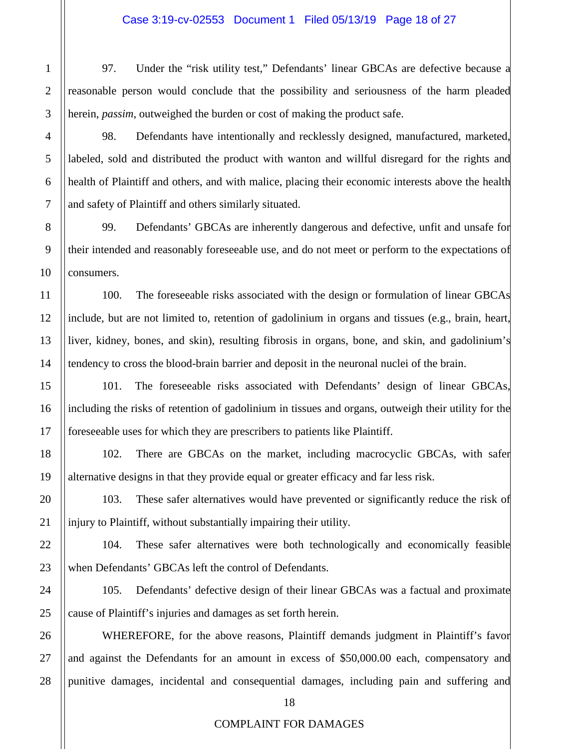97. Under the "risk utility test," Defendants' linear GBCAs are defective because a reasonable person would conclude that the possibility and seriousness of the harm pleaded herein, *passim*, outweighed the burden or cost of making the product safe.

98. Defendants have intentionally and recklessly designed, manufactured, marketed, labeled, sold and distributed the product with wanton and willful disregard for the rights and health of Plaintiff and others, and with malice, placing their economic interests above the health and safety of Plaintiff and others similarly situated.

99. Defendants' GBCAs are inherently dangerous and defective, unfit and unsafe for their intended and reasonably foreseeable use, and do not meet or perform to the expectations of consumers.

100. The foreseeable risks associated with the design or formulation of linear GBCAs include, but are not limited to, retention of gadolinium in organs and tissues (e.g., brain, heart, liver, kidney, bones, and skin), resulting fibrosis in organs, bone, and skin, and gadolinium's tendency to cross the blood-brain barrier and deposit in the neuronal nuclei of the brain.

101. The foreseeable risks associated with Defendants' design of linear GBCAs, including the risks of retention of gadolinium in tissues and organs, outweigh their utility for the foreseeable uses for which they are prescribers to patients like Plaintiff.

102. There are GBCAs on the market, including macrocyclic GBCAs, with safer alternative designs in that they provide equal or greater efficacy and far less risk.

103. These safer alternatives would have prevented or significantly reduce the risk of injury to Plaintiff, without substantially impairing their utility.

104. These safer alternatives were both technologically and economically feasible when Defendants' GBCAs left the control of Defendants.

105. Defendants' defective design of their linear GBCAs was a factual and proximate cause of Plaintiff's injuries and damages as set forth herein.

WHEREFORE, for the above reasons, Plaintiff demands judgment in Plaintiff's favor and against the Defendants for an amount in excess of \$50,000.00 each, compensatory and punitive damages, incidental and consequential damages, including pain and suffering and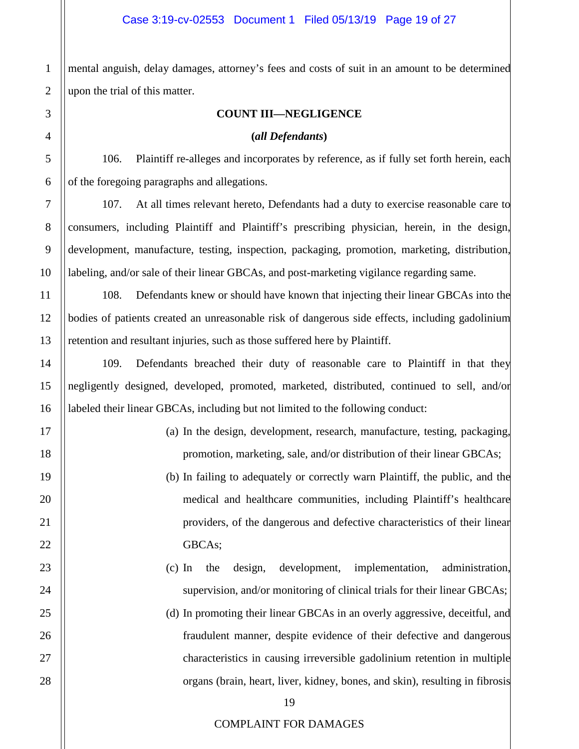mental anguish, delay damages, attorney's fees and costs of suit in an amount to be determined upon the trial of this matter.

# **COUNT III—NEGLIGENCE**

**(***all Defendants***)**

106. Plaintiff re-alleges and incorporates by reference, as if fully set forth herein, each of the foregoing paragraphs and allegations.

107. At all times relevant hereto, Defendants had a duty to exercise reasonable care to consumers, including Plaintiff and Plaintiff's prescribing physician, herein, in the design, development, manufacture, testing, inspection, packaging, promotion, marketing, distribution, labeling, and/or sale of their linear GBCAs, and post-marketing vigilance regarding same.

108. Defendants knew or should have known that injecting their linear GBCAs into the bodies of patients created an unreasonable risk of dangerous side effects, including gadolinium retention and resultant injuries, such as those suffered here by Plaintiff.

109. Defendants breached their duty of reasonable care to Plaintiff in that they negligently designed, developed, promoted, marketed, distributed, continued to sell, and/or labeled their linear GBCAs, including but not limited to the following conduct:

- (a) In the design, development, research, manufacture, testing, packaging, promotion, marketing, sale, and/or distribution of their linear GBCAs;
- (b) In failing to adequately or correctly warn Plaintiff, the public, and the medical and healthcare communities, including Plaintiff's healthcare providers, of the dangerous and defective characteristics of their linear GBCAs;
- (c) In the design, development, implementation, administration, supervision, and/or monitoring of clinical trials for their linear GBCAs;
- (d) In promoting their linear GBCAs in an overly aggressive, deceitful, and fraudulent manner, despite evidence of their defective and dangerous characteristics in causing irreversible gadolinium retention in multiple organs (brain, heart, liver, kidney, bones, and skin), resulting in fibrosis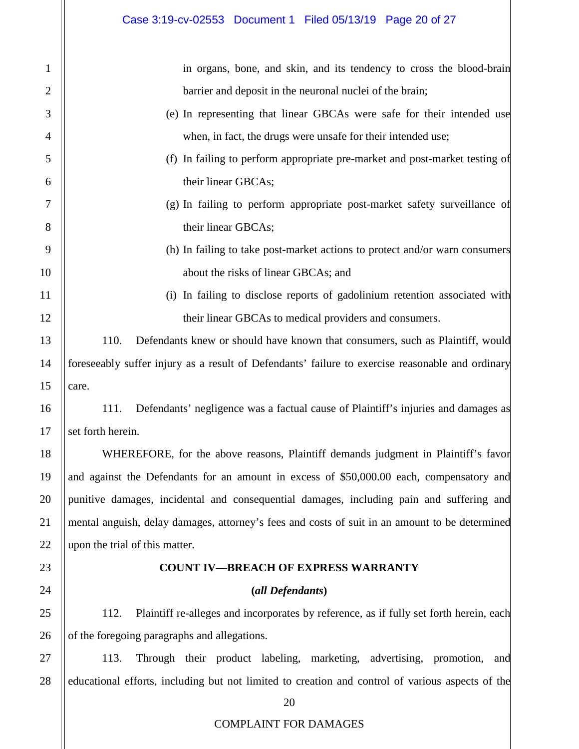1

2

3

4

5

6

7

8

9

10

11

12

13

14

15

16

17

18

19

20

21

22

23

24

25

26

in organs, bone, and skin, and its tendency to cross the blood-brain barrier and deposit in the neuronal nuclei of the brain; (e) In representing that linear GBCAs were safe for their intended use when, in fact, the drugs were unsafe for their intended use; (f) In failing to perform appropriate pre-market and post-market testing of their linear GBCAs; (g) In failing to perform appropriate post-market safety surveillance of their linear GBCAs; (h) In failing to take post-market actions to protect and/or warn consumers about the risks of linear GBCAs; and (i) In failing to disclose reports of gadolinium retention associated with their linear GBCAs to medical providers and consumers. 110. Defendants knew or should have known that consumers, such as Plaintiff, would foreseeably suffer injury as a result of Defendants' failure to exercise reasonable and ordinary care. 111. Defendants' negligence was a factual cause of Plaintiff's injuries and damages as set forth herein. WHEREFORE, for the above reasons, Plaintiff demands judgment in Plaintiff's favor and against the Defendants for an amount in excess of \$50,000.00 each, compensatory and punitive damages, incidental and consequential damages, including pain and suffering and mental anguish, delay damages, attorney's fees and costs of suit in an amount to be determined upon the trial of this matter. **COUNT IV—BREACH OF EXPRESS WARRANTY (***all Defendants***)**

112. Plaintiff re-alleges and incorporates by reference, as if fully set forth herein, each of the foregoing paragraphs and allegations.

27 28 113. Through their product labeling, marketing, advertising, promotion, and educational efforts, including but not limited to creation and control of various aspects of the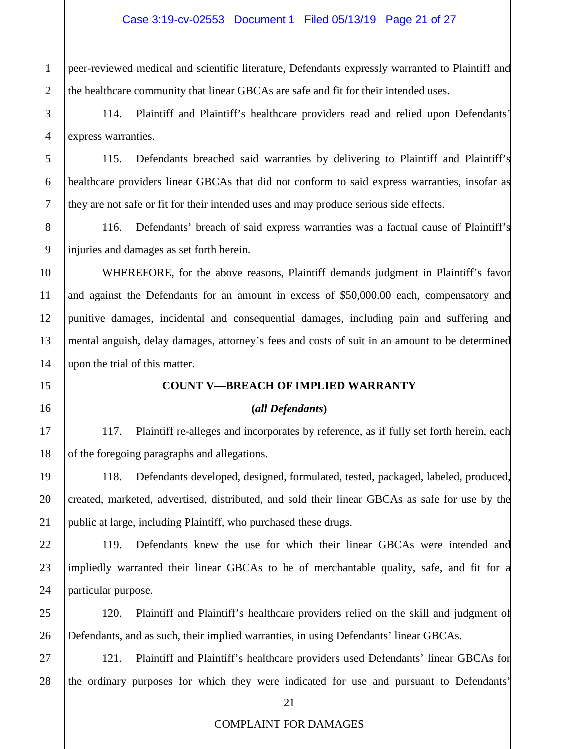peer-reviewed medical and scientific literature, Defendants expressly warranted to Plaintiff and the healthcare community that linear GBCAs are safe and fit for their intended uses.

114. Plaintiff and Plaintiff's healthcare providers read and relied upon Defendants' express warranties.

115. Defendants breached said warranties by delivering to Plaintiff and Plaintiff's healthcare providers linear GBCAs that did not conform to said express warranties, insofar as they are not safe or fit for their intended uses and may produce serious side effects.

116. Defendants' breach of said express warranties was a factual cause of Plaintiff's injuries and damages as set forth herein.

WHEREFORE, for the above reasons, Plaintiff demands judgment in Plaintiff's favor and against the Defendants for an amount in excess of \$50,000.00 each, compensatory and punitive damages, incidental and consequential damages, including pain and suffering and mental anguish, delay damages, attorney's fees and costs of suit in an amount to be determined upon the trial of this matter.

# **COUNT V—BREACH OF IMPLIED WARRANTY**

#### **(***all Defendants***)**

117. Plaintiff re-alleges and incorporates by reference, as if fully set forth herein, each of the foregoing paragraphs and allegations.

118. Defendants developed, designed, formulated, tested, packaged, labeled, produced, created, marketed, advertised, distributed, and sold their linear GBCAs as safe for use by the public at large, including Plaintiff, who purchased these drugs.

119. Defendants knew the use for which their linear GBCAs were intended and impliedly warranted their linear GBCAs to be of merchantable quality, safe, and fit for a particular purpose.

120. Plaintiff and Plaintiff's healthcare providers relied on the skill and judgment of Defendants, and as such, their implied warranties, in using Defendants' linear GBCAs.

121. Plaintiff and Plaintiff's healthcare providers used Defendants' linear GBCAs for the ordinary purposes for which they were indicated for use and pursuant to Defendants'

1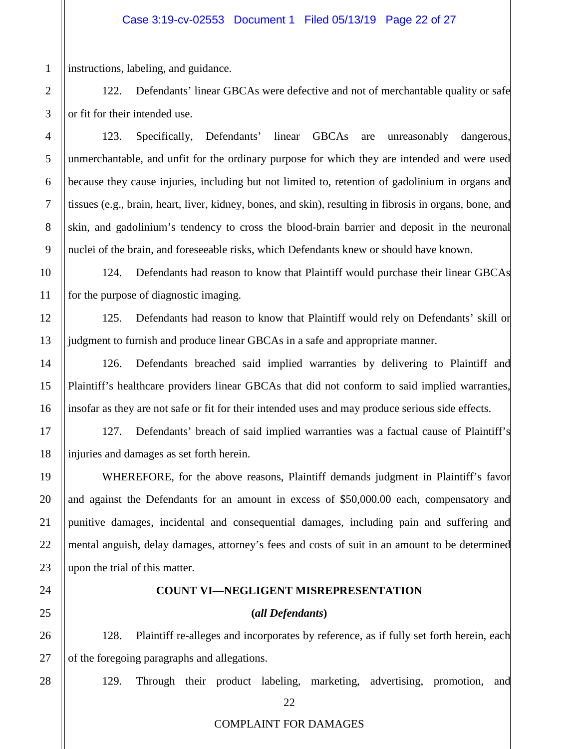instructions, labeling, and guidance.

122. Defendants' linear GBCAs were defective and not of merchantable quality or safe or fit for their intended use.

123. Specifically, Defendants' linear GBCAs are unreasonably dangerous, unmerchantable, and unfit for the ordinary purpose for which they are intended and were used because they cause injuries, including but not limited to, retention of gadolinium in organs and tissues (e.g., brain, heart, liver, kidney, bones, and skin), resulting in fibrosis in organs, bone, and skin, and gadolinium's tendency to cross the blood-brain barrier and deposit in the neuronal nuclei of the brain, and foreseeable risks, which Defendants knew or should have known.

124. Defendants had reason to know that Plaintiff would purchase their linear GBCAs for the purpose of diagnostic imaging.

125. Defendants had reason to know that Plaintiff would rely on Defendants' skill or judgment to furnish and produce linear GBCAs in a safe and appropriate manner.

126. Defendants breached said implied warranties by delivering to Plaintiff and Plaintiff's healthcare providers linear GBCAs that did not conform to said implied warranties, insofar as they are not safe or fit for their intended uses and may produce serious side effects.

127. Defendants' breach of said implied warranties was a factual cause of Plaintiff's injuries and damages as set forth herein.

WHEREFORE, for the above reasons, Plaintiff demands judgment in Plaintiff's favor and against the Defendants for an amount in excess of \$50,000.00 each, compensatory and punitive damages, incidental and consequential damages, including pain and suffering and mental anguish, delay damages, attorney's fees and costs of suit in an amount to be determined upon the trial of this matter.

#### **COUNT VI—NEGLIGENT MISREPRESENTATION**

# **(***all Defendants***)**

128. Plaintiff re-alleges and incorporates by reference, as if fully set forth herein, each of the foregoing paragraphs and allegations.

129. Through their product labeling, marketing, advertising, promotion, and

1

# COMPLAINT FOR DAMAGES

22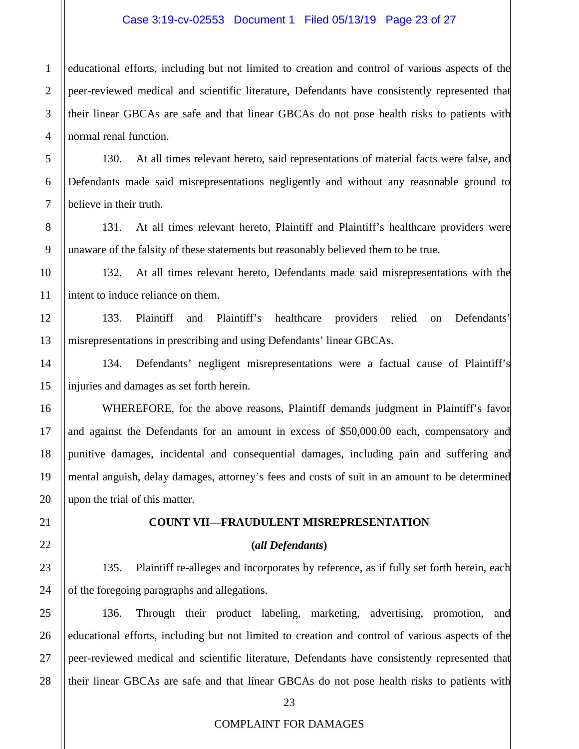#### Case 3:19-cv-02553 Document 1 Filed 05/13/19 Page 23 of 27

educational efforts, including but not limited to creation and control of various aspects of the peer-reviewed medical and scientific literature, Defendants have consistently represented that their linear GBCAs are safe and that linear GBCAs do not pose health risks to patients with normal renal function.

130. At all times relevant hereto, said representations of material facts were false, and Defendants made said misrepresentations negligently and without any reasonable ground to believe in their truth.

131. At all times relevant hereto, Plaintiff and Plaintiff's healthcare providers were unaware of the falsity of these statements but reasonably believed them to be true.

132. At all times relevant hereto, Defendants made said misrepresentations with the intent to induce reliance on them.

133. Plaintiff and Plaintiff's healthcare providers relied on Defendants' misrepresentations in prescribing and using Defendants' linear GBCAs.

134. Defendants' negligent misrepresentations were a factual cause of Plaintiff's injuries and damages as set forth herein.

WHEREFORE, for the above reasons, Plaintiff demands judgment in Plaintiff's favor and against the Defendants for an amount in excess of \$50,000.00 each, compensatory and punitive damages, incidental and consequential damages, including pain and suffering and mental anguish, delay damages, attorney's fees and costs of suit in an amount to be determined upon the trial of this matter.

## **COUNT VII—FRAUDULENT MISREPRESENTATION**

#### **(***all Defendants***)**

135. Plaintiff re-alleges and incorporates by reference, as if fully set forth herein, each of the foregoing paragraphs and allegations.

136. Through their product labeling, marketing, advertising, promotion, and educational efforts, including but not limited to creation and control of various aspects of the peer-reviewed medical and scientific literature, Defendants have consistently represented that their linear GBCAs are safe and that linear GBCAs do not pose health risks to patients with

1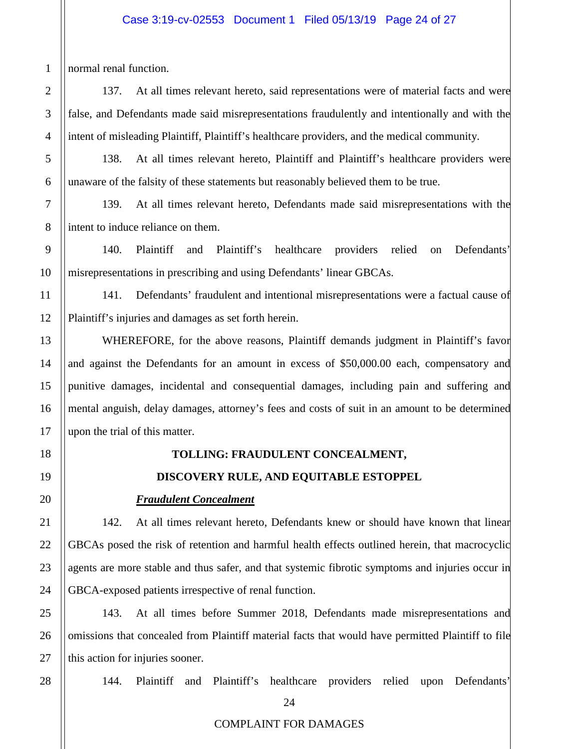# Case 3:19-cv-02553 Document 1 Filed 05/13/19 Page 24 of 27

normal renal function.

1

2

3

4

5

6

7

8

9

10

11

12

13

14

15

16

17

18

19

20

21

22

23

24

25

26

27

28

137. At all times relevant hereto, said representations were of material facts and were false, and Defendants made said misrepresentations fraudulently and intentionally and with the intent of misleading Plaintiff, Plaintiff's healthcare providers, and the medical community.

138. At all times relevant hereto, Plaintiff and Plaintiff's healthcare providers were unaware of the falsity of these statements but reasonably believed them to be true.

139. At all times relevant hereto, Defendants made said misrepresentations with the intent to induce reliance on them.

140. Plaintiff and Plaintiff's healthcare providers relied on Defendants' misrepresentations in prescribing and using Defendants' linear GBCAs.

141. Defendants' fraudulent and intentional misrepresentations were a factual cause of Plaintiff's injuries and damages as set forth herein.

WHEREFORE, for the above reasons, Plaintiff demands judgment in Plaintiff's favor and against the Defendants for an amount in excess of \$50,000.00 each, compensatory and punitive damages, incidental and consequential damages, including pain and suffering and mental anguish, delay damages, attorney's fees and costs of suit in an amount to be determined upon the trial of this matter.

# **TOLLING: FRAUDULENT CONCEALMENT,**

# **DISCOVERY RULE, AND EQUITABLE ESTOPPEL**

# *Fraudulent Concealment*

142. At all times relevant hereto, Defendants knew or should have known that linear GBCAs posed the risk of retention and harmful health effects outlined herein, that macrocyclic agents are more stable and thus safer, and that systemic fibrotic symptoms and injuries occur in GBCA-exposed patients irrespective of renal function.

143. At all times before Summer 2018, Defendants made misrepresentations and omissions that concealed from Plaintiff material facts that would have permitted Plaintiff to file this action for injuries sooner.

144. Plaintiff and Plaintiff's healthcare providers relied upon Defendants'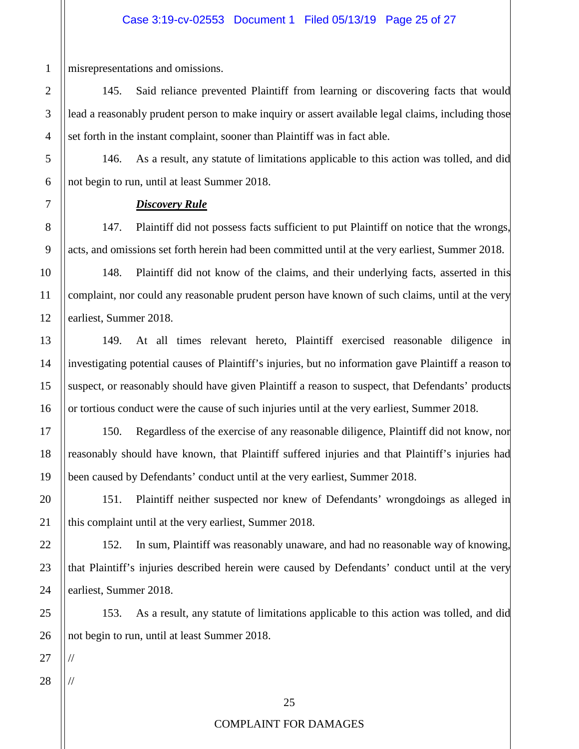misrepresentations and omissions.

1

2

3

4

5

6

7

8

9

10

11

12

13

14

15

16

17

18

19

20

21

22

23

24

25

26

145. Said reliance prevented Plaintiff from learning or discovering facts that would lead a reasonably prudent person to make inquiry or assert available legal claims, including those set forth in the instant complaint, sooner than Plaintiff was in fact able.

146. As a result, any statute of limitations applicable to this action was tolled, and did not begin to run, until at least Summer 2018.

# *Discovery Rule*

147. Plaintiff did not possess facts sufficient to put Plaintiff on notice that the wrongs, acts, and omissions set forth herein had been committed until at the very earliest, Summer 2018.

148. Plaintiff did not know of the claims, and their underlying facts, asserted in this complaint, nor could any reasonable prudent person have known of such claims, until at the very earliest, Summer 2018.

149. At all times relevant hereto, Plaintiff exercised reasonable diligence in investigating potential causes of Plaintiff's injuries, but no information gave Plaintiff a reason to suspect, or reasonably should have given Plaintiff a reason to suspect, that Defendants' products or tortious conduct were the cause of such injuries until at the very earliest, Summer 2018.

150. Regardless of the exercise of any reasonable diligence, Plaintiff did not know, nor reasonably should have known, that Plaintiff suffered injuries and that Plaintiff's injuries had been caused by Defendants' conduct until at the very earliest, Summer 2018.

151. Plaintiff neither suspected nor knew of Defendants' wrongdoings as alleged in this complaint until at the very earliest, Summer 2018.

152. In sum, Plaintiff was reasonably unaware, and had no reasonable way of knowing, that Plaintiff's injuries described herein were caused by Defendants' conduct until at the very earliest, Summer 2018.

153. As a result, any statute of limitations applicable to this action was tolled, and did not begin to run, until at least Summer 2018.

27

28

//

//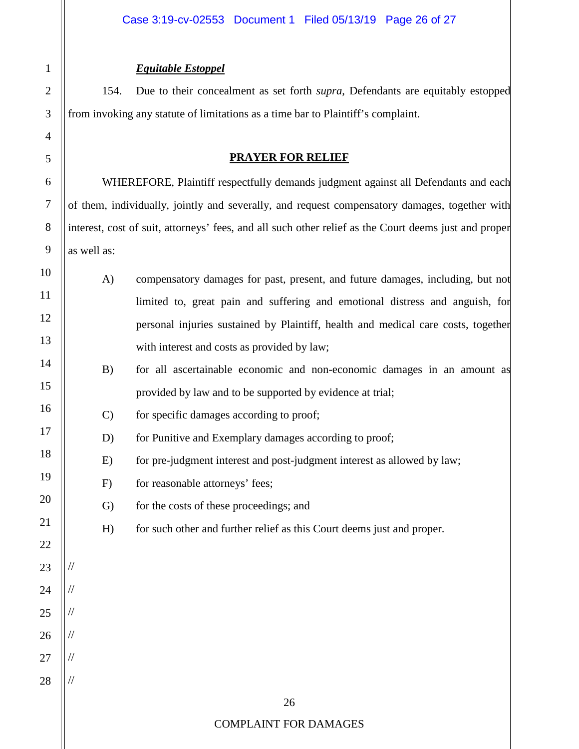# 26 COMPLAINT FOR DAMAGES 1 2 3 4 5 6 7 8 9 10 11 12 13 14 15 16 17 18 19 20 21 22 23 24 25 26 27 28 *Equitable Estoppel* 154. Due to their concealment as set forth *supra*, Defendants are equitably estopped from invoking any statute of limitations as a time bar to Plaintiff's complaint. **PRAYER FOR RELIEF** WHEREFORE, Plaintiff respectfully demands judgment against all Defendants and each of them, individually, jointly and severally, and request compensatory damages, together with interest, cost of suit, attorneys' fees, and all such other relief as the Court deems just and proper as well as: A) compensatory damages for past, present, and future damages, including, but not limited to, great pain and suffering and emotional distress and anguish, for personal injuries sustained by Plaintiff, health and medical care costs, together with interest and costs as provided by law; B) for all ascertainable economic and non-economic damages in an amount as provided by law and to be supported by evidence at trial; C) for specific damages according to proof; D) for Punitive and Exemplary damages according to proof; E) for pre-judgment interest and post-judgment interest as allowed by law; F) for reasonable attorneys' fees; G) for the costs of these proceedings; and H) for such other and further relief as this Court deems just and proper. // // // // // //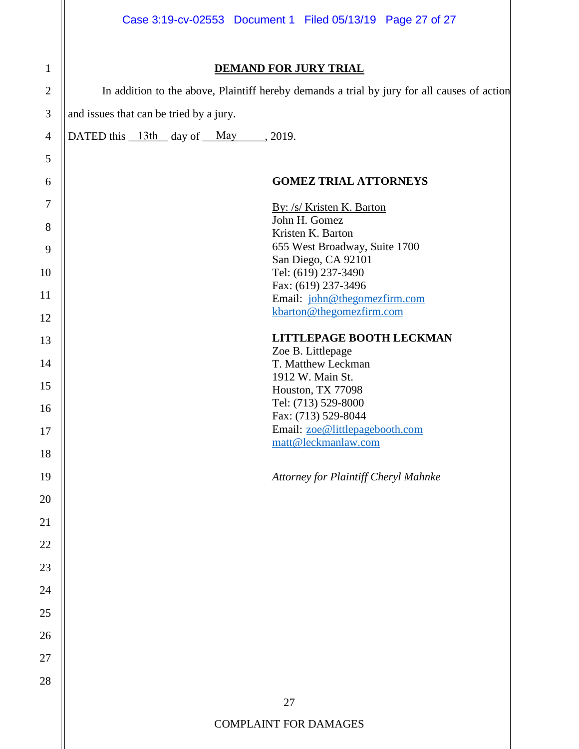|                | Case 3:19-cv-02553 Document 1 Filed 05/13/19 Page 27 of 27                                  |  |  |  |  |  |  |  |  |  |
|----------------|---------------------------------------------------------------------------------------------|--|--|--|--|--|--|--|--|--|
| $\mathbf{1}$   | <b>DEMAND FOR JURY TRIAL</b>                                                                |  |  |  |  |  |  |  |  |  |
| $\overline{2}$ | In addition to the above, Plaintiff hereby demands a trial by jury for all causes of action |  |  |  |  |  |  |  |  |  |
| 3              | and issues that can be tried by a jury.                                                     |  |  |  |  |  |  |  |  |  |
| $\overline{4}$ | DATED this $13th$ day of May 2019.                                                          |  |  |  |  |  |  |  |  |  |
| 5              |                                                                                             |  |  |  |  |  |  |  |  |  |
| 6              | <b>GOMEZ TRIAL ATTORNEYS</b>                                                                |  |  |  |  |  |  |  |  |  |
| $\tau$         | By: /s/ Kristen K. Barton                                                                   |  |  |  |  |  |  |  |  |  |
| $8\,$          | John H. Gomez<br>Kristen K. Barton                                                          |  |  |  |  |  |  |  |  |  |
| 9              | 655 West Broadway, Suite 1700                                                               |  |  |  |  |  |  |  |  |  |
|                | San Diego, CA 92101                                                                         |  |  |  |  |  |  |  |  |  |
| 10             | Tel: (619) 237-3490                                                                         |  |  |  |  |  |  |  |  |  |
| 11             | Fax: (619) 237-3496<br>Email: john@thegomezfirm.com                                         |  |  |  |  |  |  |  |  |  |
| 12             | kbarton@thegomezfirm.com                                                                    |  |  |  |  |  |  |  |  |  |
| 13             | LITTLEPAGE BOOTH LECKMAN                                                                    |  |  |  |  |  |  |  |  |  |
|                | Zoe B. Littlepage                                                                           |  |  |  |  |  |  |  |  |  |
| 14             | T. Matthew Leckman                                                                          |  |  |  |  |  |  |  |  |  |
| 15             | 1912 W. Main St.<br>Houston, TX 77098                                                       |  |  |  |  |  |  |  |  |  |
| 16             | Tel: (713) 529-8000                                                                         |  |  |  |  |  |  |  |  |  |
|                | Fax: (713) 529-8044                                                                         |  |  |  |  |  |  |  |  |  |
| 17             | Email: zoe@littlepagebooth.com<br>matt@leckmanlaw.com                                       |  |  |  |  |  |  |  |  |  |
| 18             |                                                                                             |  |  |  |  |  |  |  |  |  |
| 19             | Attorney for Plaintiff Cheryl Mahnke                                                        |  |  |  |  |  |  |  |  |  |
| 20             |                                                                                             |  |  |  |  |  |  |  |  |  |
| 21             |                                                                                             |  |  |  |  |  |  |  |  |  |
| 22             |                                                                                             |  |  |  |  |  |  |  |  |  |
| 23             |                                                                                             |  |  |  |  |  |  |  |  |  |
| 24             |                                                                                             |  |  |  |  |  |  |  |  |  |
| 25             |                                                                                             |  |  |  |  |  |  |  |  |  |
| 26             |                                                                                             |  |  |  |  |  |  |  |  |  |
| 27             |                                                                                             |  |  |  |  |  |  |  |  |  |
| 28             |                                                                                             |  |  |  |  |  |  |  |  |  |
|                | 27                                                                                          |  |  |  |  |  |  |  |  |  |
|                | <b>COMPLAINT FOR DAMAGES</b>                                                                |  |  |  |  |  |  |  |  |  |
|                |                                                                                             |  |  |  |  |  |  |  |  |  |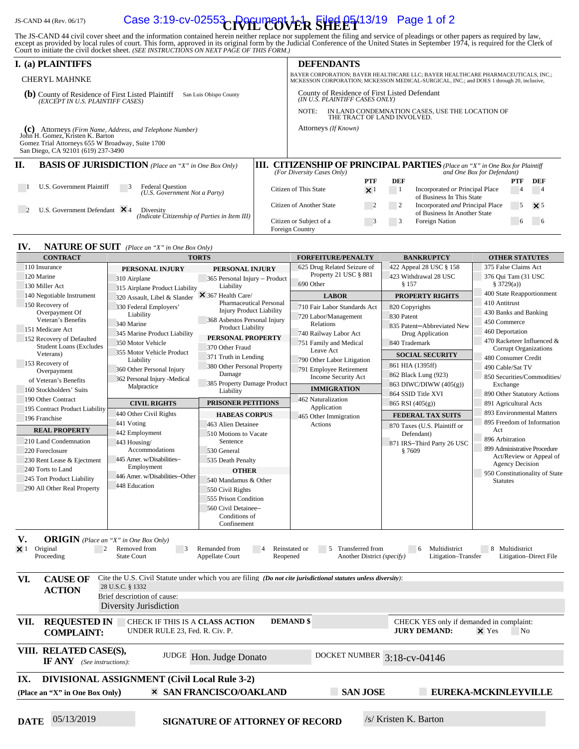# JS-CAND 44 (Rev. 06/17) **Case 3:19-cv-02553 Prefument 1-1 Filed 05/13/19** Page 1 of 2

The JS-CAND 44 civil cover sheet and the information contained herein neither replace nor supplement the filing and service of pleadings or other papers as required by law, except as provided by local rules of court. This

|                                                                                                                    | I. (a) PLAINTIFFS                                                                                                                                                                      |      |                                                                                                                                                                              | <b>DEFENDANTS</b> |            |                |                                                                                                              |          |               |
|--------------------------------------------------------------------------------------------------------------------|----------------------------------------------------------------------------------------------------------------------------------------------------------------------------------------|------|------------------------------------------------------------------------------------------------------------------------------------------------------------------------------|-------------------|------------|----------------|--------------------------------------------------------------------------------------------------------------|----------|---------------|
| <b>CHERYL MAHNKE</b>                                                                                               |                                                                                                                                                                                        |      | BAYER CORPORATION; BAYER HEALTHCARE LLC; BAYER HEALTHCARE PHARMACEUTICALS, INC.;<br>MCKESSON CORPORATION; MCKESSON MEDICAL-SURGICAL, INC.; and DOES 1 through 20, inclusive, |                   |            |                |                                                                                                              |          |               |
| County of Residence of First Listed Plaintiff<br>(b)<br>San Luis Obispo County<br>(EXCEPT IN U.S. PLAINTIFF CASES) |                                                                                                                                                                                        |      | County of Residence of First Listed Defendant<br>(IN U.S. PLAINTIFF CASES ONLY)                                                                                              |                   |            |                |                                                                                                              |          |               |
|                                                                                                                    |                                                                                                                                                                                        |      | NOTE:<br>IN LAND CONDEMNATION CASES, USE THE LOCATION OF<br>THE TRACT OF LAND INVOLVED.                                                                                      |                   |            |                |                                                                                                              |          |               |
|                                                                                                                    | (C) Attorneys (Firm Name, Address, and Telephone Number)<br>John H. Gomez, Kristen K. Barton<br>Gomez Trial Attorneys 655 W Broadway, Suite 1700<br>San Diego, CA 92101 (619) 237-3490 |      | Attorneys (If Known)                                                                                                                                                         |                   |            |                |                                                                                                              |          |               |
| П.                                                                                                                 | <b>BASIS OF JURISDICTION</b> (Place an "X" in One Box Only)                                                                                                                            | III. | (For Diversity Cases Only)                                                                                                                                                   |                   |            |                | <b>CITIZENSHIP OF PRINCIPAL PARTIES</b> (Place an "X" in One Box for Plaintiff<br>and One Box for Defendant) |          |               |
|                                                                                                                    |                                                                                                                                                                                        |      |                                                                                                                                                                              |                   | <b>PTF</b> | DEF            |                                                                                                              | PTF      | DEF           |
|                                                                                                                    | U.S. Government Plaintiff<br><b>Federal Question</b><br>3<br>(U.S. Government Not a Party)                                                                                             |      | Citizen of This State                                                                                                                                                        |                   | $\times$   | $\blacksquare$ | Incorporated or Principal Place<br>of Business In This State                                                 | -4       | $\frac{4}{3}$ |
|                                                                                                                    | U.S. Government Defendant $\times$ 4<br>Diversity<br>(Indicate Citizenship of Parties in Item III)                                                                                     |      | Citizen of Another State                                                                                                                                                     |                   |            |                | Incorporated and Principal Place<br>of Business In Another State                                             | 5        | $\times$ 5    |
|                                                                                                                    |                                                                                                                                                                                        |      | Citizen or Subject of a<br>Foreign Country                                                                                                                                   |                   |            | 3              | Foreign Nation                                                                                               | $\sigma$ | -6            |

#### **IV. NATURE OF SUIT** *(Place an "X" in One Box Only)*

| <b>TORTS</b><br><b>CONTRACT</b>                                                                                                                                                                                                                                                                                                                                                            |                                                     | <b>FORFEITURE/PENALTY</b>                                                                                      | <b>BANKRUPTCY</b>            | <b>OTHER STATUTES</b>        |                                                   |  |  |  |  |
|--------------------------------------------------------------------------------------------------------------------------------------------------------------------------------------------------------------------------------------------------------------------------------------------------------------------------------------------------------------------------------------------|-----------------------------------------------------|----------------------------------------------------------------------------------------------------------------|------------------------------|------------------------------|---------------------------------------------------|--|--|--|--|
| 110 Insurance                                                                                                                                                                                                                                                                                                                                                                              | PERSONAL INJURY                                     | PERSONAL INJURY                                                                                                | 625 Drug Related Seizure of  | 422 Appeal 28 USC § 158      | 375 False Claims Act                              |  |  |  |  |
| 120 Marine                                                                                                                                                                                                                                                                                                                                                                                 | 310 Airplane                                        | 365 Personal Injury - Product                                                                                  | Property 21 USC § 881        | 423 Withdrawal 28 USC        | 376 Qui Tam (31 USC                               |  |  |  |  |
| 130 Miller Act<br>Liability<br>315 Airplane Product Liability                                                                                                                                                                                                                                                                                                                              |                                                     |                                                                                                                | 690 Other                    | \$157                        | \$3729(a)                                         |  |  |  |  |
| 140 Negotiable Instrument                                                                                                                                                                                                                                                                                                                                                                  | 320 Assault, Libel & Slander                        | $\times$ 367 Health Care/                                                                                      | <b>LABOR</b>                 | <b>PROPERTY RIGHTS</b>       | 400 State Reapportionment                         |  |  |  |  |
| 150 Recovery of                                                                                                                                                                                                                                                                                                                                                                            | 330 Federal Employers'                              | <b>Pharmaceutical Personal</b>                                                                                 | 710 Fair Labor Standards Act | 820 Copyrights               | 410 Antitrust                                     |  |  |  |  |
| Overpayment Of                                                                                                                                                                                                                                                                                                                                                                             | Liability                                           | <b>Injury Product Liability</b>                                                                                | 720 Labor/Management         | 830 Patent                   | 430 Banks and Banking                             |  |  |  |  |
| Veteran's Benefits                                                                                                                                                                                                                                                                                                                                                                         | 340 Marine                                          | 368 Asbestos Personal Injury                                                                                   | Relations                    | 835 Patent-Abbreviated New   | 450 Commerce                                      |  |  |  |  |
| 151 Medicare Act                                                                                                                                                                                                                                                                                                                                                                           | 345 Marine Product Liability                        | <b>Product Liability</b>                                                                                       | 740 Railway Labor Act        | Drug Application             | 460 Deportation                                   |  |  |  |  |
| 152 Recovery of Defaulted                                                                                                                                                                                                                                                                                                                                                                  | 350 Motor Vehicle                                   | PERSONAL PROPERTY                                                                                              | 751 Family and Medical       | 840 Trademark                | 470 Racketeer Influenced &                        |  |  |  |  |
| <b>Student Loans (Excludes</b>                                                                                                                                                                                                                                                                                                                                                             | 355 Motor Vehicle Product                           | 370 Other Fraud                                                                                                | Leave Act                    |                              | Corrupt Organizations                             |  |  |  |  |
| Veterans)                                                                                                                                                                                                                                                                                                                                                                                  | Liability                                           | 371 Truth in Lending                                                                                           | 790 Other Labor Litigation   | <b>SOCIAL SECURITY</b>       | 480 Consumer Credit                               |  |  |  |  |
| 153 Recovery of<br>Overpayment                                                                                                                                                                                                                                                                                                                                                             | 360 Other Personal Injury                           | 380 Other Personal Property                                                                                    | 791 Employee Retirement      | 861 HIA (1395ff)             | 490 Cable/Sat TV                                  |  |  |  |  |
| of Veteran's Benefits                                                                                                                                                                                                                                                                                                                                                                      | 362 Personal Injury - Medical                       | Damage                                                                                                         | Income Security Act          | 862 Black Lung (923)         | 850 Securities/Commodities/                       |  |  |  |  |
| 160 Stockholders' Suits                                                                                                                                                                                                                                                                                                                                                                    | Malpractice                                         | 385 Property Damage Product                                                                                    | <b>IMMIGRATION</b>           | 863 DIWC/DIWW (405(g))       | Exchange                                          |  |  |  |  |
| 190 Other Contract                                                                                                                                                                                                                                                                                                                                                                         |                                                     | Liability                                                                                                      | 462 Naturalization           | 864 SSID Title XVI           | 890 Other Statutory Actions                       |  |  |  |  |
|                                                                                                                                                                                                                                                                                                                                                                                            | <b>CIVIL RIGHTS</b>                                 | PRISONER PETITIONS                                                                                             | Application                  | 865 RSI (405(g))             | 891 Agricultural Acts                             |  |  |  |  |
| 195 Contract Product Liability                                                                                                                                                                                                                                                                                                                                                             | 440 Other Civil Rights                              | <b>HABEAS CORPUS</b>                                                                                           | 465 Other Immigration        | <b>FEDERAL TAX SUITS</b>     | 893 Environmental Matters                         |  |  |  |  |
| 196 Franchise                                                                                                                                                                                                                                                                                                                                                                              | 441 Voting                                          | 463 Alien Detainee                                                                                             | Actions                      | 870 Taxes (U.S. Plaintiff or | 895 Freedom of Information                        |  |  |  |  |
| <b>REAL PROPERTY</b>                                                                                                                                                                                                                                                                                                                                                                       | 442 Employment                                      | 510 Motions to Vacate                                                                                          |                              | Defendant)                   | Act                                               |  |  |  |  |
| 210 Land Condemnation                                                                                                                                                                                                                                                                                                                                                                      | 443 Housing/                                        | Sentence                                                                                                       |                              | 871 IRS-Third Party 26 USC   | 896 Arbitration                                   |  |  |  |  |
| 220 Foreclosure                                                                                                                                                                                                                                                                                                                                                                            | Accommodations                                      | 530 General                                                                                                    |                              | §7609                        | 899 Administrative Procedure                      |  |  |  |  |
| 230 Rent Lease & Ejectment                                                                                                                                                                                                                                                                                                                                                                 | 445 Amer. w/Disabilities-                           | 535 Death Penalty                                                                                              |                              |                              | Act/Review or Appeal of<br><b>Agency Decision</b> |  |  |  |  |
| 240 Torts to Land                                                                                                                                                                                                                                                                                                                                                                          | Employment                                          | <b>OTHER</b>                                                                                                   |                              |                              | 950 Constitutionality of State                    |  |  |  |  |
| 245 Tort Product Liability                                                                                                                                                                                                                                                                                                                                                                 | 446 Amer. w/Disabilities-Other                      | 540 Mandamus & Other                                                                                           |                              |                              | <b>Statutes</b>                                   |  |  |  |  |
| 290 All Other Real Property                                                                                                                                                                                                                                                                                                                                                                | 448 Education                                       | 550 Civil Rights                                                                                               |                              |                              |                                                   |  |  |  |  |
|                                                                                                                                                                                                                                                                                                                                                                                            |                                                     | 555 Prison Condition                                                                                           |                              |                              |                                                   |  |  |  |  |
|                                                                                                                                                                                                                                                                                                                                                                                            |                                                     | 560 Civil Detainee-                                                                                            |                              |                              |                                                   |  |  |  |  |
|                                                                                                                                                                                                                                                                                                                                                                                            |                                                     | Conditions of                                                                                                  |                              |                              |                                                   |  |  |  |  |
|                                                                                                                                                                                                                                                                                                                                                                                            |                                                     | Confinement                                                                                                    |                              |                              |                                                   |  |  |  |  |
| V.<br><b>ORIGIN</b> (Place an "X" in One Box Only)<br>Original<br>Removed from<br>Remanded from<br>Reinstated or<br>Transferred from<br>Multidistrict<br>8 Multidistrict<br>$\times$ 1<br>2<br>$\overline{\phantom{a}}$<br>5<br>6<br><b>State Court</b><br><b>Appellate Court</b><br>Another District (specify)<br>Litigation-Transfer<br>Litigation-Direct File<br>Proceeding<br>Reopened |                                                     |                                                                                                                |                              |                              |                                                   |  |  |  |  |
| VI.<br><b>CAUSE OF</b>                                                                                                                                                                                                                                                                                                                                                                     |                                                     | Cite the U.S. Civil Statute under which you are filing (Do not cite jurisdictional statutes unless diversity): |                              |                              |                                                   |  |  |  |  |
| <b>ACTION</b>                                                                                                                                                                                                                                                                                                                                                                              | 28 U.S.C. § 1332<br>Brief description of cause:     |                                                                                                                |                              |                              |                                                   |  |  |  |  |
|                                                                                                                                                                                                                                                                                                                                                                                            | Diversity Jurisdiction                              |                                                                                                                |                              |                              |                                                   |  |  |  |  |
|                                                                                                                                                                                                                                                                                                                                                                                            |                                                     |                                                                                                                |                              |                              |                                                   |  |  |  |  |
| <b>REQUESTED IN</b><br>VII.<br>CHECK IF THIS IS A CLASS ACTION<br><b>DEMAND</b> \$<br>CHECK YES only if demanded in complaint:<br><b>JURY DEMAND:</b><br>UNDER RULE 23, Fed. R. Civ. P.<br>$\times$ Yes<br>N <sub>0</sub><br><b>COMPLAINT:</b>                                                                                                                                             |                                                     |                                                                                                                |                              |                              |                                                   |  |  |  |  |
| VIII. RELATED CASE(S),<br><b>IF ANY</b> (See instructions):                                                                                                                                                                                                                                                                                                                                |                                                     | JUDGE Hon. Judge Donato                                                                                        | DOCKET NUMBER 3:18-cv-04146  |                              |                                                   |  |  |  |  |
| IX.                                                                                                                                                                                                                                                                                                                                                                                        | <b>DIVISIONAL ASSIGNMENT (Civil Local Rule 3-2)</b> |                                                                                                                |                              |                              |                                                   |  |  |  |  |
| (Place an "X" in One Box Only)                                                                                                                                                                                                                                                                                                                                                             |                                                     | <b>× SAN FRANCISCO/OAKLAND</b>                                                                                 | <b>SAN JOSE</b>              |                              | EUREKA-MCKINLEYVILLE                              |  |  |  |  |
|                                                                                                                                                                                                                                                                                                                                                                                            |                                                     |                                                                                                                |                              |                              |                                                   |  |  |  |  |
|                                                                                                                                                                                                                                                                                                                                                                                            |                                                     |                                                                                                                |                              |                              |                                                   |  |  |  |  |
| 05/13/2019<br><b>DATE</b>                                                                                                                                                                                                                                                                                                                                                                  |                                                     | <b>SIGNATURE OF ATTORNEY OF RECORD</b>                                                                         |                              | /s/ Kristen K. Barton        |                                                   |  |  |  |  |